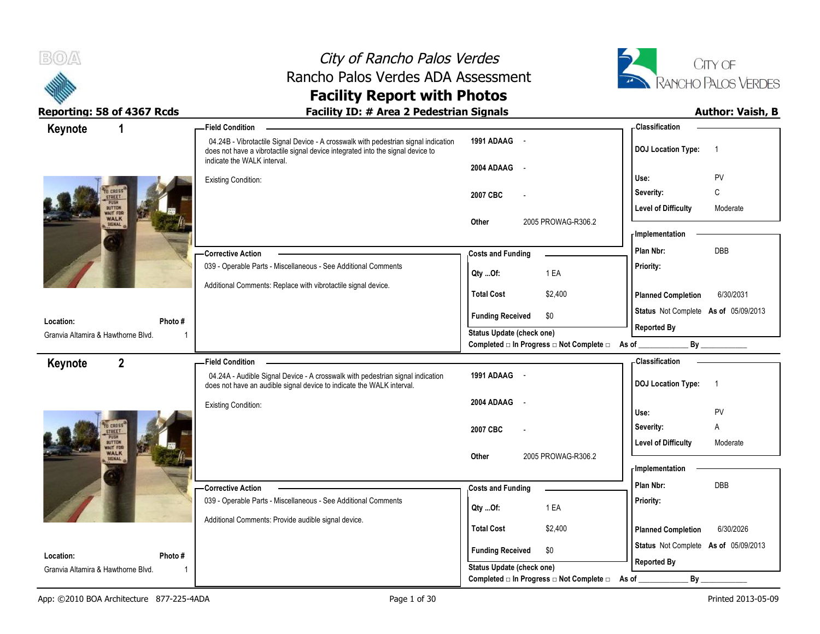



| Keynote                                  | 1              | - Field Condition                                                                                                                                                                                     |                                                  | - Classification                            |
|------------------------------------------|----------------|-------------------------------------------------------------------------------------------------------------------------------------------------------------------------------------------------------|--------------------------------------------------|---------------------------------------------|
|                                          |                | 04.24B - Vibrotactile Signal Device - A crosswalk with pedestrian signal indication<br>does not have a vibrotactile signal device integrated into the signal device to<br>indicate the WALK interval. | 1991 ADAAG -                                     | <b>DOJ Location Type:</b><br>$\overline{1}$ |
|                                          |                |                                                                                                                                                                                                       | 2004 ADAAG<br>$\sim$ $-$                         |                                             |
|                                          |                | <b>Existing Condition:</b>                                                                                                                                                                            |                                                  | PV<br>Use:                                  |
|                                          |                |                                                                                                                                                                                                       | 2007 CBC                                         | Severity:<br>C                              |
| 137790<br>WALK                           |                |                                                                                                                                                                                                       |                                                  | <b>Level of Difficulty</b><br>Moderate      |
| SIGNAL                                   |                |                                                                                                                                                                                                       | Other<br>2005 PROWAG-R306.2                      | - Implementation                            |
|                                          |                |                                                                                                                                                                                                       |                                                  | <b>DBB</b><br>Plan Nbr:                     |
|                                          |                | - Corrective Action<br>039 - Operable Parts - Miscellaneous - See Additional Comments                                                                                                                 | <b>Costs and Funding</b>                         | Priority:                                   |
|                                          |                |                                                                                                                                                                                                       | 1 EA<br>Qty Of:                                  |                                             |
|                                          |                | Additional Comments: Replace with vibrotactile signal device.                                                                                                                                         | <b>Total Cost</b><br>\$2,400                     | 6/30/2031<br><b>Planned Completion</b>      |
| Location:                                | Photo #        |                                                                                                                                                                                                       | <b>Funding Received</b><br>\$0                   | Status Not Complete As of 05/09/2013        |
| Granvia Altamira & Hawthorne Blvd.       |                |                                                                                                                                                                                                       | Status Update (check one)                        | <b>Reported By</b>                          |
|                                          |                |                                                                                                                                                                                                       | Completed □ In Progress □ Not Complete □ As of _ | By                                          |
| Keynote                                  | $\overline{2}$ | <b>Field Condition</b>                                                                                                                                                                                |                                                  | - Classification                            |
|                                          |                | 04.24A - Audible Signal Device - A crosswalk with pedestrian signal indication<br>does not have an audible signal device to indicate the WALK interval.                                               | 1991 ADAAG -                                     | <b>DOJ Location Type:</b><br>$\overline{1}$ |
|                                          |                | <b>Existing Condition:</b>                                                                                                                                                                            | 2004 ADAAG<br>$\sim$ $\sim$                      |                                             |
|                                          |                |                                                                                                                                                                                                       |                                                  | PV<br>Use:                                  |
|                                          |                |                                                                                                                                                                                                       | 2007 CBC                                         | Severity:<br>Α                              |
| <b>BUTTON</b><br><b>IAIT FOR</b><br>WALK |                |                                                                                                                                                                                                       |                                                  | <b>Level of Difficulty</b><br>Moderate      |
| SIGNAL                                   |                |                                                                                                                                                                                                       | 2005 PROWAG-R306.2<br>Other                      | - Implementation                            |
|                                          |                |                                                                                                                                                                                                       |                                                  | <b>DBB</b><br>Plan Nbr:                     |
|                                          |                | - Corrective Action<br>039 - Operable Parts - Miscellaneous - See Additional Comments                                                                                                                 | <b>Costs and Funding</b>                         | Priority:                                   |
|                                          |                |                                                                                                                                                                                                       | 1 EA<br>Qty Of:                                  |                                             |
|                                          |                | Additional Comments: Provide audible signal device.                                                                                                                                                   | <b>Total Cost</b><br>\$2,400                     | <b>Planned Completion</b><br>6/30/2026      |
|                                          |                |                                                                                                                                                                                                       |                                                  | Status Not Complete As of 05/09/2013        |
| Location:                                | Photo#         |                                                                                                                                                                                                       | <b>Funding Received</b><br>\$0                   | <b>Reported By</b>                          |
| Granvia Altamira & Hawthorne Blvd.       |                |                                                                                                                                                                                                       | Status Update (check one)                        |                                             |
|                                          |                |                                                                                                                                                                                                       | Completed □ In Progress □ Not Complete □         | By<br>As of                                 |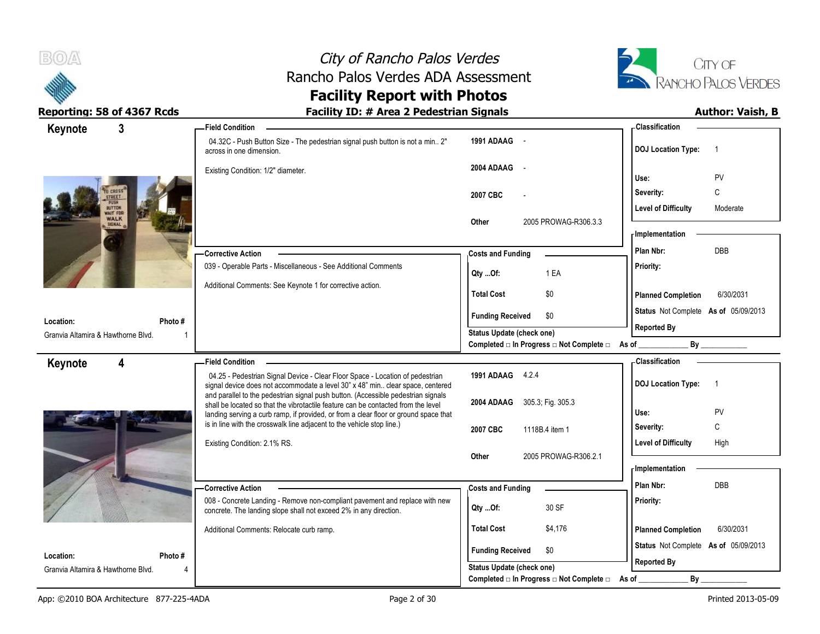



| Keynote<br>$\mathbf{3}$            | <b>Field Condition</b>                                                                                                                                                 |                                                               | - Classification                            |
|------------------------------------|------------------------------------------------------------------------------------------------------------------------------------------------------------------------|---------------------------------------------------------------|---------------------------------------------|
|                                    | 04.32C - Push Button Size - The pedestrian signal push button is not a min 2"<br>across in one dimension.                                                              | 1991 ADAAG -                                                  | <b>DOJ</b> Location Type:<br>$\overline{1}$ |
|                                    | Existing Condition: 1/2" diameter.                                                                                                                                     | 2004 ADAAG<br>$\sim$                                          | PV<br>Use:                                  |
|                                    |                                                                                                                                                                        | 2007 CBC                                                      | C<br>Severity:                              |
| <b>STTD</b><br>AIT FOR             |                                                                                                                                                                        |                                                               | <b>Level of Difficulty</b><br>Moderate      |
| WALK<br>SIGNAL                     |                                                                                                                                                                        | 2005 PROWAG-R306.3.3<br>Other                                 | <b>Implementation</b>                       |
|                                    | <b>Corrective Action</b>                                                                                                                                               | <b>Costs and Funding</b>                                      | Plan Nbr:<br>DBB                            |
|                                    | 039 - Operable Parts - Miscellaneous - See Additional Comments                                                                                                         | 1 EA<br>Qty Of:                                               | Priority:                                   |
|                                    | Additional Comments: See Keynote 1 for corrective action.                                                                                                              | <b>Total Cost</b><br>\$0                                      | <b>Planned Completion</b><br>6/30/2031      |
| Location:<br>Photo#                |                                                                                                                                                                        | <b>Funding Received</b><br>\$0                                | Status Not Complete As of 05/09/2013        |
| Granvia Altamira & Hawthorne Blvd. |                                                                                                                                                                        | Status Update (check one)                                     | <b>Reported By</b>                          |
|                                    |                                                                                                                                                                        | Completed □ In Progress □ Not Complete □ As of _              |                                             |
| Keynote<br>4                       | -Field Condition                                                                                                                                                       | 1991 ADAAG 4.2.4                                              | - Classification                            |
|                                    | 04.25 - Pedestrian Signal Device - Clear Floor Space - Location of pedestrian<br>signal device does not accommodate a level 30" x 48" min clear space, centered        |                                                               | <b>DOJ Location Type:</b><br>$\overline{1}$ |
|                                    | and parallel to the pedestrian signal push button. (Accessible pedestrian signals<br>shall be located so that the vibrotactile feature can be contacted from the level | 2004 ADAAG 305.3, Fig. 305.3                                  |                                             |
|                                    | landing serving a curb ramp, if provided, or from a clear floor or ground space that<br>is in line with the crosswalk line adjacent to the vehicle stop line.)         |                                                               | PV<br>Use:                                  |
|                                    |                                                                                                                                                                        | 2007 CBC<br>1118B.4 item 1                                    | C<br>Severity:                              |
|                                    | Existing Condition: 2.1% RS.                                                                                                                                           | 2005 PROWAG-R306.2.1<br>Other                                 | <b>Level of Difficulty</b><br>High          |
|                                    |                                                                                                                                                                        |                                                               | - Implementation                            |
|                                    | <b>Corrective Action</b>                                                                                                                                               | <b>Costs and Funding</b>                                      | Plan Nbr:<br>DBB                            |
|                                    | 008 - Concrete Landing - Remove non-compliant pavement and replace with new<br>concrete. The landing slope shall not exceed 2% in any direction.                       | 30 SF<br>Qty Of:                                              | Priority:                                   |
|                                    | Additional Comments: Relocate curb ramp.                                                                                                                               | <b>Total Cost</b><br>\$4,176                                  | <b>Planned Completion</b><br>6/30/2031      |
| Location:<br>Photo#                |                                                                                                                                                                        | <b>Funding Received</b><br>\$0                                | Status Not Complete As of 05/09/2013        |
| Granvia Altamira & Hawthorne Blvd. |                                                                                                                                                                        | <b>Status Update (check one)</b>                              | <b>Reported By</b>                          |
|                                    |                                                                                                                                                                        | Completed $\Box$ In Progress $\Box$ Not Complete $\Box$ As of | By                                          |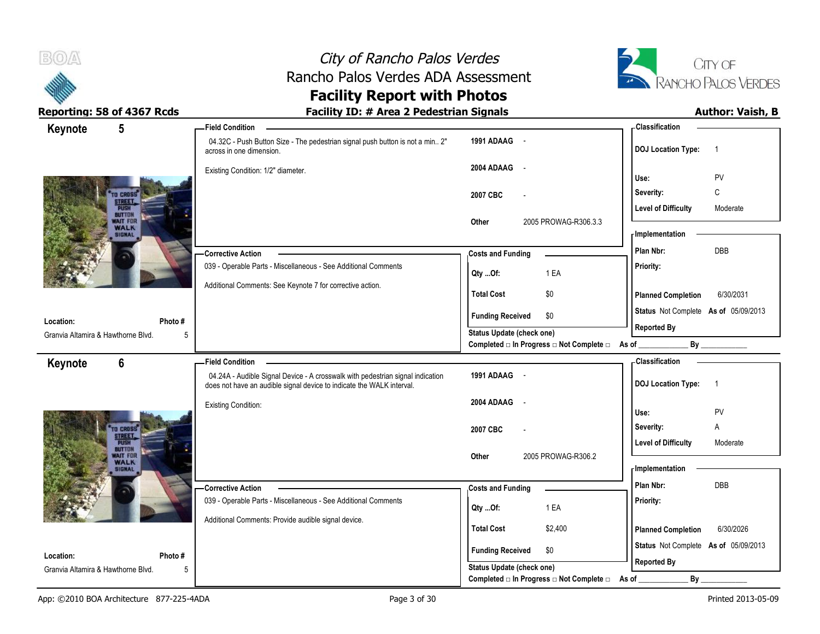



| Keynote<br>$5\phantom{.0}$                   | <b>Field Condition</b>                                                                                                                                  |                                                                       | <b>Classification</b>                                      |
|----------------------------------------------|---------------------------------------------------------------------------------------------------------------------------------------------------------|-----------------------------------------------------------------------|------------------------------------------------------------|
|                                              | 04.32C - Push Button Size - The pedestrian signal push button is not a min 2"<br>across in one dimension.                                               | 1991 ADAAG -                                                          | <b>DOJ</b> Location Type:<br>$\overline{1}$                |
|                                              | Existing Condition: 1/2" diameter.                                                                                                                      | 2004 ADAAG<br>$\sim$                                                  | PV<br>Use:                                                 |
| <b>CROSS</b>                                 |                                                                                                                                                         | 2007 CBC                                                              | C<br>Severity:                                             |
| STREET.<br>BUT TON<br>WAIT FOR               |                                                                                                                                                         | 2005 PROWAG-R306.3.3<br>Other                                         | <b>Level of Difficulty</b><br>Moderate                     |
| <b>WALK</b><br><b>SECHAL</b>                 |                                                                                                                                                         |                                                                       | - Implementation                                           |
|                                              | <b>Corrective Action</b>                                                                                                                                | <b>Costs and Funding</b>                                              | DBB<br>Plan Nbr:                                           |
|                                              | 039 - Operable Parts - Miscellaneous - See Additional Comments                                                                                          | 1 EA<br>Qty Of:                                                       | Priority:                                                  |
|                                              | Additional Comments: See Keynote 7 for corrective action.                                                                                               | <b>Total Cost</b><br>\$0                                              | <b>Planned Completion</b><br>6/30/2031                     |
| Photo#<br>Location:                          |                                                                                                                                                         | <b>Funding Received</b><br>\$0                                        | Status Not Complete As of 05/09/2013                       |
| Granvia Altamira & Hawthorne Blvd.<br>5      |                                                                                                                                                         | <b>Status Update (check one)</b>                                      | <b>Reported By</b>                                         |
|                                              |                                                                                                                                                         | Completed □ In Progress □ Not Complete □ As of _                      | By                                                         |
| $6\phantom{1}$<br>Keynote                    | <b>Field Condition</b>                                                                                                                                  |                                                                       | - Classification                                           |
|                                              | 04.24A - Audible Signal Device - A crosswalk with pedestrian signal indication<br>does not have an audible signal device to indicate the WALK interval. | 1991 ADAAG -                                                          | <b>DOJ Location Type:</b><br>$\overline{1}$                |
|                                              | <b>Existing Condition:</b>                                                                                                                              | 2004 ADAAG<br>$\sim$                                                  | PV<br>Use:                                                 |
| <b>CROSS</b>                                 |                                                                                                                                                         | 2007 CBC                                                              | Severity:<br>Α                                             |
| STREET.<br>PUSH<br><b>BUTTON</b><br>WAIT FOR |                                                                                                                                                         |                                                                       | <b>Level of Difficulty</b><br>Moderate                     |
| <b>WALK</b><br><b>SECHAI</b>                 |                                                                                                                                                         | 2005 PROWAG-R306.2<br>Other                                           | <b>Implementation</b>                                      |
|                                              | -Corrective Action                                                                                                                                      | <b>Costs and Funding</b>                                              | Plan Nbr:<br><b>DBB</b>                                    |
|                                              | 039 - Operable Parts - Miscellaneous - See Additional Comments                                                                                          | 1 EA<br>Qty Of:                                                       | Priority:                                                  |
|                                              | Additional Comments: Provide audible signal device.                                                                                                     | <b>Total Cost</b><br>\$2,400                                          | 6/30/2026<br><b>Planned Completion</b>                     |
| Location:<br>Photo#                          |                                                                                                                                                         | <b>Funding Received</b><br>\$0                                        | Status Not Complete As of 05/09/2013<br><b>Reported By</b> |
| Granvia Altamira & Hawthorne Blvd.<br>5      |                                                                                                                                                         |                                                                       |                                                            |
|                                              |                                                                                                                                                         | Status Update (check one)<br>Completed □ In Progress □ Not Complete □ | By<br>As of                                                |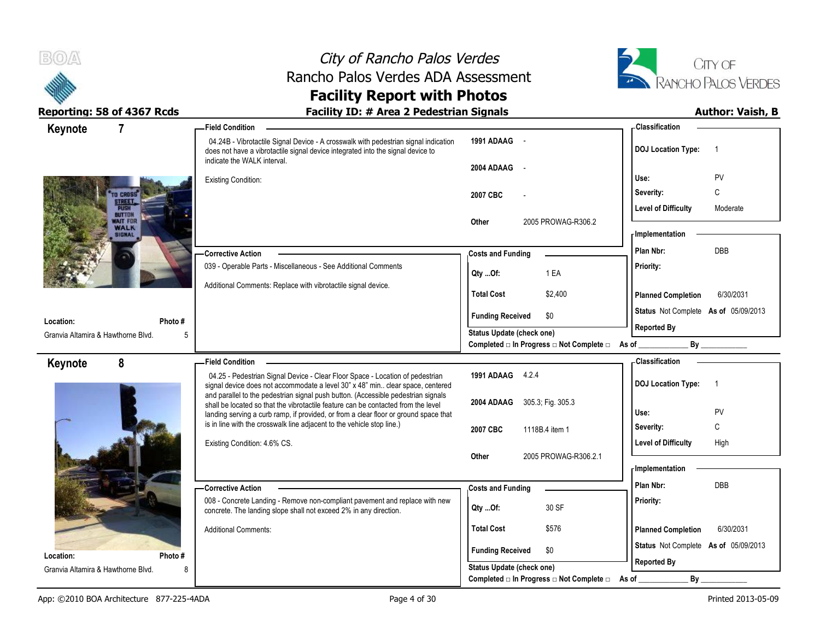



## Reporting: 58 of 4367 Rcds **Facility ID: # Area 2 Pedestrian Signals Author: Vaish, B**

| $\overline{7}$<br>Keynote                                      | - Field Condition                                                                                                                                                                                     |                                                                               | - Classification                                           |
|----------------------------------------------------------------|-------------------------------------------------------------------------------------------------------------------------------------------------------------------------------------------------------|-------------------------------------------------------------------------------|------------------------------------------------------------|
|                                                                | 04.24B - Vibrotactile Signal Device - A crosswalk with pedestrian signal indication<br>does not have a vibrotactile signal device integrated into the signal device to<br>indicate the WALK interval. | 1991 ADAAG -                                                                  | <b>DOJ Location Type:</b><br>-1                            |
|                                                                | Existing Condition:                                                                                                                                                                                   | 2004 ADAAG                                                                    | Use:<br>PV                                                 |
|                                                                |                                                                                                                                                                                                       | 2007 CBC                                                                      | C<br>Severity:                                             |
| नाराइट ए<br>BUT TO!                                            |                                                                                                                                                                                                       |                                                                               | <b>Level of Difficulty</b><br>Moderate                     |
| <b>WAIT FOR</b><br><b>WALK</b><br><b>SIGNAL</b>                |                                                                                                                                                                                                       | 2005 PROWAG-R306.2<br>Other                                                   | <b>Implementation</b>                                      |
|                                                                | <b>Corrective Action</b>                                                                                                                                                                              | <b>Costs and Funding</b>                                                      | Plan Nbr:<br>DBB                                           |
|                                                                | 039 - Operable Parts - Miscellaneous - See Additional Comments                                                                                                                                        | 1 EA                                                                          | Priority:                                                  |
|                                                                | Additional Comments: Replace with vibrotactile signal device.                                                                                                                                         | $Qty$ Of:                                                                     |                                                            |
|                                                                |                                                                                                                                                                                                       | <b>Total Cost</b><br>\$2,400                                                  | <b>Planned Completion</b><br>6/30/2031                     |
| Location:<br>Photo#                                            |                                                                                                                                                                                                       | <b>Funding Received</b><br>\$0                                                | Status Not Complete As of 05/09/2013<br><b>Reported By</b> |
| Granvia Altamira & Hawthorne Blvd.<br>5                        |                                                                                                                                                                                                       | Status Update (check one)<br>Completed □ In Progress □ Not Complete □ As of _ | By                                                         |
| 8                                                              | <b>Field Condition</b>                                                                                                                                                                                |                                                                               | - Classification                                           |
|                                                                |                                                                                                                                                                                                       |                                                                               |                                                            |
| Keynote                                                        | 04.25 - Pedestrian Signal Device - Clear Floor Space - Location of pedestrian                                                                                                                         | 1991 ADAAG 4.2.4                                                              |                                                            |
|                                                                | signal device does not accommodate a level 30" x 48" min clear space, centered<br>and parallel to the pedestrian signal push button. (Accessible pedestrian signals                                   |                                                                               | <b>DOJ Location Type:</b><br>$\overline{1}$                |
|                                                                | shall be located so that the vibrotactile feature can be contacted from the level<br>landing serving a curb ramp, if provided, or from a clear floor or ground space that                             | 2004 ADAAG 305.3, Fig. 305.3                                                  | Use:<br>PV                                                 |
|                                                                | is in line with the crosswalk line adjacent to the vehicle stop line.)                                                                                                                                | 2007 CBC<br>1118B.4 item 1                                                    | C<br>Severity:                                             |
|                                                                | Existing Condition: 4.6% CS.                                                                                                                                                                          |                                                                               | <b>Level of Difficulty</b><br>High                         |
|                                                                |                                                                                                                                                                                                       | 2005 PROWAG-R306.2.1<br>Other                                                 | <b>Implementation</b>                                      |
|                                                                | <b>Corrective Action</b>                                                                                                                                                                              | <b>Costs and Funding</b>                                                      | Plan Nbr:<br><b>DBB</b>                                    |
|                                                                | 008 - Concrete Landing - Remove non-compliant pavement and replace with new<br>concrete. The landing slope shall not exceed 2% in any direction.                                                      | Qty Of:<br>30 SF                                                              | Priority:                                                  |
|                                                                | <b>Additional Comments:</b>                                                                                                                                                                           | <b>Total Cost</b><br>\$576                                                    | 6/30/2031<br><b>Planned Completion</b>                     |
|                                                                |                                                                                                                                                                                                       | <b>Funding Received</b><br>\$0                                                | Status Not Complete As of 05/09/2013                       |
| Photo#<br>Location:<br>Granvia Altamira & Hawthorne Blvd.<br>8 |                                                                                                                                                                                                       | <b>Status Update (check one)</b>                                              | <b>Reported By</b>                                         |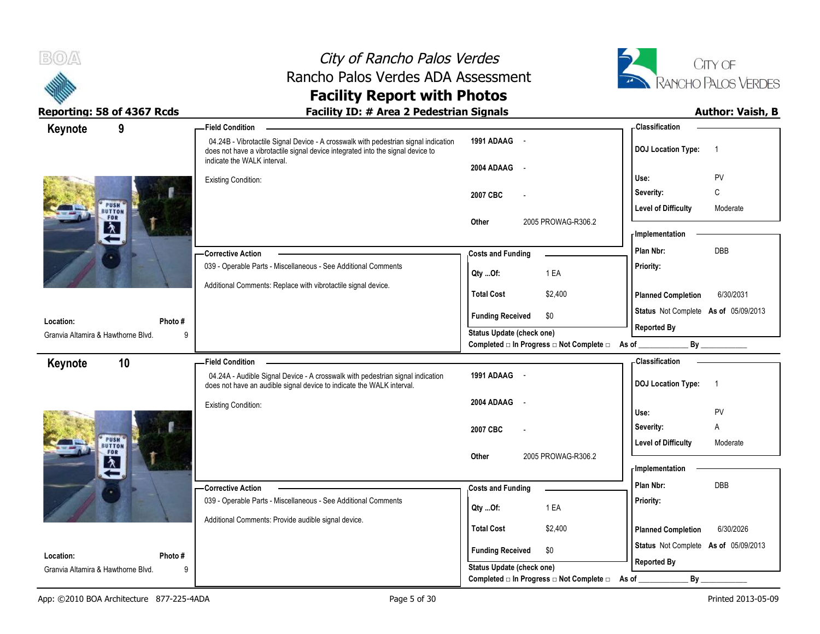



| 9<br>Keynote                            | -Field Condition                                                                                                                                                                                      |                                                  | - Classification                            |
|-----------------------------------------|-------------------------------------------------------------------------------------------------------------------------------------------------------------------------------------------------------|--------------------------------------------------|---------------------------------------------|
|                                         | 04.24B - Vibrotactile Signal Device - A crosswalk with pedestrian signal indication<br>does not have a vibrotactile signal device integrated into the signal device to<br>indicate the WALK interval. | 1991 ADAAG -                                     | <b>DOJ</b> Location Type:<br>$\overline{1}$ |
|                                         |                                                                                                                                                                                                       | 2004 ADAAG<br>$\sim$                             |                                             |
|                                         | <b>Existing Condition:</b>                                                                                                                                                                            |                                                  | Use:<br>PV                                  |
|                                         |                                                                                                                                                                                                       | 2007 CBC                                         | $\mathsf{C}$<br>Severity:                   |
| PUSH<br><b>BUTTON</b><br>FOR            |                                                                                                                                                                                                       |                                                  | <b>Level of Difficulty</b><br>Moderate      |
| $\lambda$                               |                                                                                                                                                                                                       | 2005 PROWAG-R306.2<br>Other                      | - Implementation                            |
| $\leftarrow$                            |                                                                                                                                                                                                       |                                                  |                                             |
|                                         | - Corrective Action                                                                                                                                                                                   | <b>Costs and Funding</b>                         | DBB<br>Plan Nbr:                            |
|                                         | 039 - Operable Parts - Miscellaneous - See Additional Comments                                                                                                                                        | 1 EA<br>Qty Of:                                  | Priority:                                   |
|                                         | Additional Comments: Replace with vibrotactile signal device.                                                                                                                                         | <b>Total Cost</b><br>\$2,400                     | 6/30/2031<br><b>Planned Completion</b>      |
|                                         |                                                                                                                                                                                                       |                                                  | Status Not Complete As of 05/09/2013        |
| Photo#<br>Location:                     |                                                                                                                                                                                                       | <b>Funding Received</b><br>\$0                   | <b>Reported By</b>                          |
| Granvia Altamira & Hawthorne Blvd.<br>9 |                                                                                                                                                                                                       | <b>Status Update (check one)</b>                 |                                             |
|                                         |                                                                                                                                                                                                       | Completed □ In Progress □ Not Complete □ As of _ | By                                          |
| 10<br>Keynote                           | - Field Condition                                                                                                                                                                                     |                                                  | - Classification                            |
|                                         | 04.24A - Audible Signal Device - A crosswalk with pedestrian signal indication<br>does not have an audible signal device to indicate the WALK interval.                                               | 1991 ADAAG -                                     | <b>DOJ</b> Location Type:<br>$\overline{1}$ |
|                                         | <b>Existing Condition:</b>                                                                                                                                                                            | 2004 ADAAG<br>$\sim$                             |                                             |
|                                         |                                                                                                                                                                                                       |                                                  | PV<br>Use:                                  |
|                                         |                                                                                                                                                                                                       | 2007 CBC                                         | Severity:<br>A                              |
| PUSH<br><b>BUTTON</b><br>FOR            |                                                                                                                                                                                                       |                                                  | <b>Level of Difficulty</b><br>Moderate      |
| $\lambda$                               |                                                                                                                                                                                                       | 2005 PROWAG-R306.2<br>Other                      | - Implementation                            |
| $\leftarrow$                            |                                                                                                                                                                                                       |                                                  | DBB<br>Plan Nbr:                            |
|                                         | -Corrective Action<br>039 - Operable Parts - Miscellaneous - See Additional Comments                                                                                                                  | <b>Costs and Funding</b>                         |                                             |
|                                         |                                                                                                                                                                                                       | 1 EA<br>Qty Of:                                  | Priority:                                   |
|                                         | Additional Comments: Provide audible signal device.                                                                                                                                                   | <b>Total Cost</b><br>\$2,400                     | <b>Planned Completion</b><br>6/30/2026      |
|                                         |                                                                                                                                                                                                       |                                                  | Status Not Complete As of 05/09/2013        |
| Location:<br>Photo#                     |                                                                                                                                                                                                       | <b>Funding Received</b><br>\$0                   |                                             |
| Granvia Altamira & Hawthorne Blvd.<br>9 |                                                                                                                                                                                                       | <b>Status Update (check one)</b>                 | <b>Reported By</b>                          |
|                                         |                                                                                                                                                                                                       | Completed □ In Progress □ Not Complete □         | By<br>As of                                 |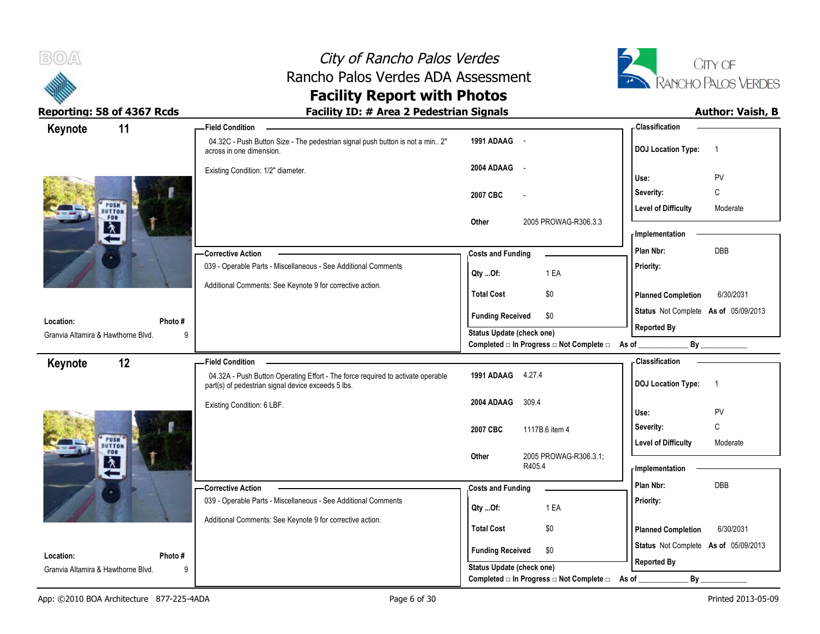

# City of Rancho Palos Verdes Rancho Palos Verdes ADA Assessment



### **Facility Report with Photos** Reporting: 58 of 4367 Rcds **Facility ID: # Area 2 Pedestrian Signals Reporting: 58 of 4367 Rcds Author: Vaish, B**

| 11<br>Keynote                                   |              | <b>Field Condition</b>                                                                                                                |                                                                 | - Classification                            |
|-------------------------------------------------|--------------|---------------------------------------------------------------------------------------------------------------------------------------|-----------------------------------------------------------------|---------------------------------------------|
|                                                 |              | 04.32C - Push Button Size - The pedestrian signal push button is not a min 2"<br>across in one dimension.                             | 1991 ADAAG -                                                    | <b>DOJ Location Type:</b><br>$\overline{1}$ |
|                                                 |              | Existing Condition: 1/2" diameter.                                                                                                    | 2004 ADAAG<br>$\sim$ $-$                                        | PV<br>Use:                                  |
|                                                 |              |                                                                                                                                       | 2007 CBC                                                        | C<br>Severity:                              |
| <b>PUSH</b>                                     |              |                                                                                                                                       |                                                                 | <b>Level of Difficulty</b><br>Moderate      |
| FOR<br>$\boldsymbol{\lambda}$                   |              |                                                                                                                                       | 2005 PROWAG-R306.3.3<br>Other                                   |                                             |
| $\leftarrow$                                    |              |                                                                                                                                       |                                                                 | - Implementation                            |
|                                                 |              | -Corrective Action                                                                                                                    | <b>Costs and Funding</b>                                        | DBB<br>Plan Nbr:                            |
|                                                 |              | 039 - Operable Parts - Miscellaneous - See Additional Comments                                                                        | 1 EA<br>Qty Of:                                                 | Priority:                                   |
|                                                 |              | Additional Comments: See Keynote 9 for corrective action.                                                                             | \$0<br><b>Total Cost</b>                                        | <b>Planned Completion</b><br>6/30/2031      |
|                                                 |              |                                                                                                                                       | <b>Funding Received</b><br>\$0                                  | Status Not Complete As of 05/09/2013        |
| Location:<br>Granvia Altamira & Hawthorne Blvd. | Photo #<br>9 |                                                                                                                                       | <b>Status Update (check one)</b>                                | <b>Reported By</b>                          |
|                                                 |              |                                                                                                                                       | Completed $\Box$ In Progress $\Box$ Not Complete $\Box$ As of _ | By                                          |
| 12<br>Keynote                                   |              | <b>Field Condition</b>                                                                                                                |                                                                 | - Classification                            |
|                                                 |              | 04.32A - Push Button Operating Effort - The force required to activate operable<br>part(s) of pedestrian signal device exceeds 5 lbs. | 1991 ADAAG 4.27.4                                               | <b>DOJ Location Type:</b><br>$\overline{1}$ |
|                                                 |              | Existing Condition: 6 LBF.                                                                                                            | 309.4<br>2004 ADAAG                                             |                                             |
|                                                 |              |                                                                                                                                       |                                                                 | Use:<br>PV                                  |
| PUSH                                            |              |                                                                                                                                       | 2007 CBC<br>1117B.6 item 4                                      | $\mathbb C$<br>Severity:                    |
| <b>BUTTON</b><br>FOR                            |              |                                                                                                                                       | 2005 PROWAG-R306.3.1;<br>Other                                  | <b>Level of Difficulty</b><br>Moderate      |
| $\bm{\lambda}$                                  |              |                                                                                                                                       |                                                                 |                                             |
|                                                 |              |                                                                                                                                       | R405.4                                                          | <b>Implementation</b>                       |
| ←                                               |              |                                                                                                                                       |                                                                 | Plan Nbr:<br>DBB                            |
|                                                 |              | - Corrective Action<br>039 - Operable Parts - Miscellaneous - See Additional Comments                                                 | <b>Costs and Funding</b>                                        | Priority:                                   |
|                                                 |              |                                                                                                                                       | 1 EA<br>Qty Of:                                                 |                                             |
|                                                 |              | Additional Comments: See Keynote 9 for corrective action.                                                                             | <b>Total Cost</b><br>\$0                                        | <b>Planned Completion</b><br>6/30/2031      |
| Location:                                       | Photo#       |                                                                                                                                       | <b>Funding Received</b><br>\$0                                  | Status Not Complete As of 05/09/2013        |
| Granvia Altamira & Hawthorne Blvd.              | 9            |                                                                                                                                       | <b>Status Update (check one)</b>                                | <b>Reported By</b><br>By                    |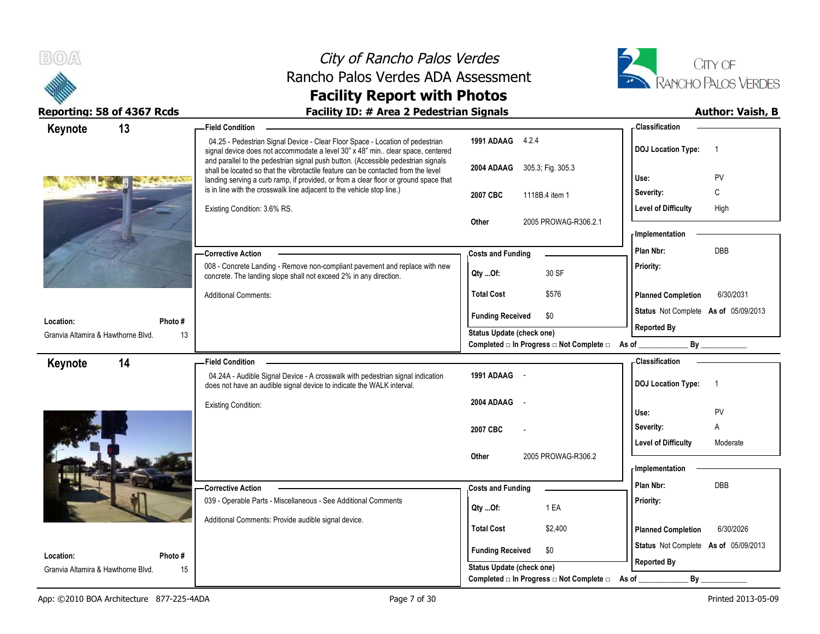



### **Reporting: 58 of 4367 Rcds Facility ID: # Area 2 Pedestrian Signals Author: Vaish, B**

| 13<br>Keynote                            | <b>Field Condition</b>                                                                                                                                                                                                                               |                                                                       | - Classification                            |
|------------------------------------------|------------------------------------------------------------------------------------------------------------------------------------------------------------------------------------------------------------------------------------------------------|-----------------------------------------------------------------------|---------------------------------------------|
|                                          | 04.25 - Pedestrian Signal Device - Clear Floor Space - Location of pedestrian<br>signal device does not accommodate a level 30" x 48" min clear space, centered<br>and parallel to the pedestrian signal push button. (Accessible pedestrian signals | 1991 ADAAG 4.2.4                                                      | <b>DOJ Location Type:</b><br>$\overline{1}$ |
|                                          | shall be located so that the vibrotactile feature can be contacted from the level<br>landing serving a curb ramp, if provided, or from a clear floor or ground space that                                                                            | 2004 ADAAG 305.3; Fig. 305.3                                          | PV<br>Use:                                  |
|                                          | is in line with the crosswalk line adjacent to the vehicle stop line.)                                                                                                                                                                               | 2007 CBC<br>1118B.4 item 1                                            | C<br>Severity:                              |
|                                          | Existing Condition: 3.6% RS.                                                                                                                                                                                                                         |                                                                       | <b>Level of Difficulty</b><br>High          |
|                                          |                                                                                                                                                                                                                                                      | 2005 PROWAG-R306.2.1<br><b>Other</b>                                  |                                             |
|                                          |                                                                                                                                                                                                                                                      |                                                                       | - Implementation                            |
|                                          | - Corrective Action                                                                                                                                                                                                                                  | <b>Costs and Funding</b>                                              | DBB<br>Plan Nbr:                            |
|                                          | 008 - Concrete Landing - Remove non-compliant pavement and replace with new<br>concrete. The landing slope shall not exceed 2% in any direction.                                                                                                     | 30 SF<br>Qty Of:                                                      | Priority:                                   |
|                                          | <b>Additional Comments:</b>                                                                                                                                                                                                                          | <b>Total Cost</b><br>\$576                                            | <b>Planned Completion</b><br>6/30/2031      |
| Location:<br>Photo #                     |                                                                                                                                                                                                                                                      | \$0<br><b>Funding Received</b>                                        | Status Not Complete As of 05/09/2013        |
| Granvia Altamira & Hawthorne Blvd.<br>13 |                                                                                                                                                                                                                                                      | Status Update (check one)                                             | <b>Reported By</b>                          |
|                                          |                                                                                                                                                                                                                                                      | Completed □ In Progress □ Not Complete □ As of ________               | By                                          |
| 14<br>Keynote                            | <b>Field Condition</b>                                                                                                                                                                                                                               |                                                                       | <b>Classification</b>                       |
|                                          | 04.24A - Audible Signal Device - A crosswalk with pedestrian signal indication<br>does not have an audible signal device to indicate the WALK interval.                                                                                              | 1991 ADAAG -                                                          | <b>DOJ Location Type:</b><br>$\overline{1}$ |
|                                          | <b>Existing Condition:</b>                                                                                                                                                                                                                           | 2004 ADAAG                                                            |                                             |
|                                          |                                                                                                                                                                                                                                                      |                                                                       | PV<br>Use:                                  |
|                                          |                                                                                                                                                                                                                                                      | 2007 CBC                                                              | Severity:<br>A                              |
|                                          |                                                                                                                                                                                                                                                      |                                                                       | <b>Level of Difficulty</b><br>Moderate      |
|                                          |                                                                                                                                                                                                                                                      | 2005 PROWAG-R306.2<br>Other                                           | - Implementation                            |
|                                          |                                                                                                                                                                                                                                                      |                                                                       | Plan Nbr:<br>DBB                            |
|                                          | <b>Corrective Action</b><br>039 - Operable Parts - Miscellaneous - See Additional Comments                                                                                                                                                           | <b>Costs and Funding</b>                                              | Priority:                                   |
|                                          |                                                                                                                                                                                                                                                      | 1 EA<br>Qty Of:                                                       |                                             |
|                                          | Additional Comments: Provide audible signal device.                                                                                                                                                                                                  | <b>Total Cost</b><br>\$2,400                                          | <b>Planned Completion</b><br>6/30/2026      |
|                                          |                                                                                                                                                                                                                                                      |                                                                       | Status Not Complete As of 05/09/2013        |
| Photo#<br>Location:                      |                                                                                                                                                                                                                                                      | <b>Funding Received</b><br>\$0                                        | <b>Reported By</b>                          |
| Granvia Altamira & Hawthorne Blvd.<br>15 |                                                                                                                                                                                                                                                      | Status Update (check one)<br>Completed □ In Progress □ Not Complete □ | By<br>As of                                 |
|                                          |                                                                                                                                                                                                                                                      |                                                                       |                                             |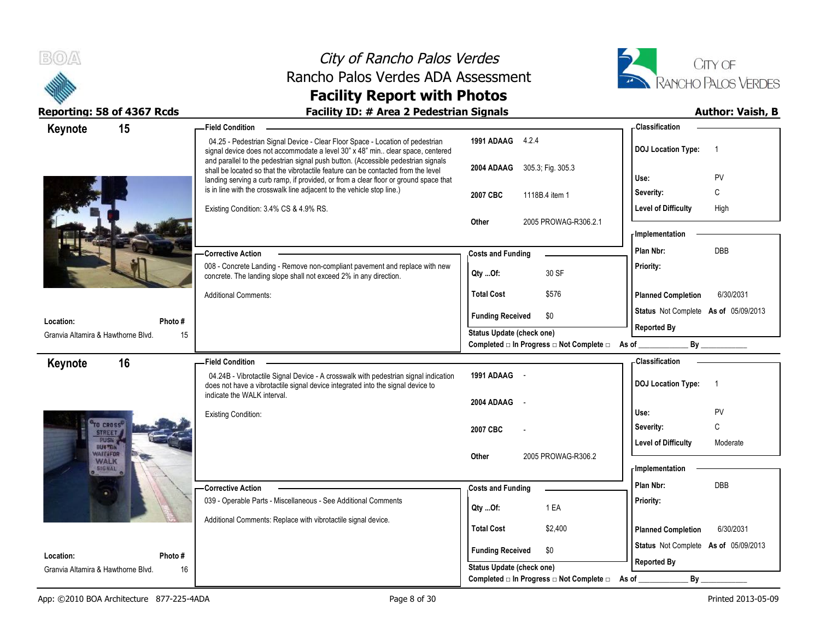



| 15<br>Keynote                                       |              | <b>Field Condition</b>                                                                                                                                                                                                                                         |                                                                              | - Classification                            |
|-----------------------------------------------------|--------------|----------------------------------------------------------------------------------------------------------------------------------------------------------------------------------------------------------------------------------------------------------------|------------------------------------------------------------------------------|---------------------------------------------|
|                                                     |              | 04.25 - Pedestrian Signal Device - Clear Floor Space - Location of pedestrian<br>signal device does not accommodate a level 30" x 48" min clear space, centered                                                                                                | 1991 ADAAG 4.2.4                                                             | <b>DOJ Location Type:</b><br>$\overline{1}$ |
|                                                     |              | and parallel to the pedestrian signal push button. (Accessible pedestrian signals<br>shall be located so that the vibrotactile feature can be contacted from the level<br>landing serving a curb ramp, if provided, or from a clear floor or ground space that | 305.3, Fig. 305.3<br>2004 ADAAG                                              | PV<br>Use:                                  |
|                                                     |              | is in line with the crosswalk line adjacent to the vehicle stop line.)                                                                                                                                                                                         | 2007 CBC<br>1118B.4 item 1                                                   | C<br>Severity:                              |
|                                                     |              | Existing Condition: 3.4% CS & 4.9% RS.                                                                                                                                                                                                                         |                                                                              | <b>Level of Difficulty</b><br>High          |
|                                                     |              |                                                                                                                                                                                                                                                                | Other<br>2005 PROWAG-R306.2.1                                                |                                             |
|                                                     |              |                                                                                                                                                                                                                                                                |                                                                              | <b>Implementation</b>                       |
|                                                     |              | -Corrective Action                                                                                                                                                                                                                                             | <b>Costs and Funding</b>                                                     | <b>DBB</b><br>Plan Nbr:                     |
|                                                     |              | 008 - Concrete Landing - Remove non-compliant pavement and replace with new<br>concrete. The landing slope shall not exceed 2% in any direction.                                                                                                               | 30 SF<br>Qty Of:                                                             | Priority:                                   |
|                                                     |              | <b>Additional Comments:</b>                                                                                                                                                                                                                                    | <b>Total Cost</b><br>\$576                                                   | <b>Planned Completion</b><br>6/30/2031      |
|                                                     |              |                                                                                                                                                                                                                                                                | <b>Funding Received</b><br>\$0                                               | Status Not Complete As of 05/09/2013        |
| Location:<br>Granvia Altamira & Hawthorne Blvd.     | Photo#<br>15 |                                                                                                                                                                                                                                                                | <b>Status Update (check one)</b>                                             | <b>Reported By</b>                          |
|                                                     |              |                                                                                                                                                                                                                                                                | Completed □ In Progress □ Not Complete □                                     | By<br>As of $\_\_$                          |
| 16<br>Keynote                                       |              | <b>Field Condition</b>                                                                                                                                                                                                                                         |                                                                              | <b>Classification</b>                       |
|                                                     |              | 04.24B - Vibrotactile Signal Device - A crosswalk with pedestrian signal indication                                                                                                                                                                            | 1991 ADAAG -                                                                 | <b>DOJ Location Type:</b><br>$\overline{1}$ |
|                                                     |              | does not have a vibrotactile signal device integrated into the signal device to<br>indicate the WALK interval.                                                                                                                                                 |                                                                              |                                             |
|                                                     |              | Existing Condition:                                                                                                                                                                                                                                            | 2004 ADAAG                                                                   | Use:<br>PV                                  |
| <b>TO CROSS</b>                                     |              |                                                                                                                                                                                                                                                                | 2007 CBC                                                                     | C<br>Severity:                              |
| <b>STREET</b><br>PUSK <sub>1</sub><br><b>BUETON</b> |              |                                                                                                                                                                                                                                                                |                                                                              | Level of Difficulty<br>Moderate             |
| <b>WAIT IFOR</b>                                    |              |                                                                                                                                                                                                                                                                |                                                                              |                                             |
| <b>WALK</b>                                         |              |                                                                                                                                                                                                                                                                | 2005 PROWAG-R306.2<br>Other                                                  |                                             |
| <b>SIGNAL</b>                                       |              |                                                                                                                                                                                                                                                                |                                                                              | - Implementation                            |
|                                                     |              | - Corrective Action                                                                                                                                                                                                                                            | <b>Costs and Funding</b>                                                     | Plan Nbr:<br><b>DBB</b>                     |
|                                                     |              | 039 - Operable Parts - Miscellaneous - See Additional Comments                                                                                                                                                                                                 | 1 EA                                                                         | Priority:                                   |
|                                                     |              | Additional Comments: Replace with vibrotactile signal device.                                                                                                                                                                                                  | QtyOf:                                                                       |                                             |
|                                                     |              |                                                                                                                                                                                                                                                                | <b>Total Cost</b><br>\$2,400                                                 | 6/30/2031<br><b>Planned Completion</b>      |
| Location:                                           | Photo #      |                                                                                                                                                                                                                                                                | <b>Funding Received</b><br>\$0                                               | Status Not Complete As of 05/09/2013        |
| Granvia Altamira & Hawthorne Blvd.                  | 16           |                                                                                                                                                                                                                                                                | <b>Status Update (check one)</b><br>Completed □ In Progress □ Not Complete □ | <b>Reported By</b><br>By                    |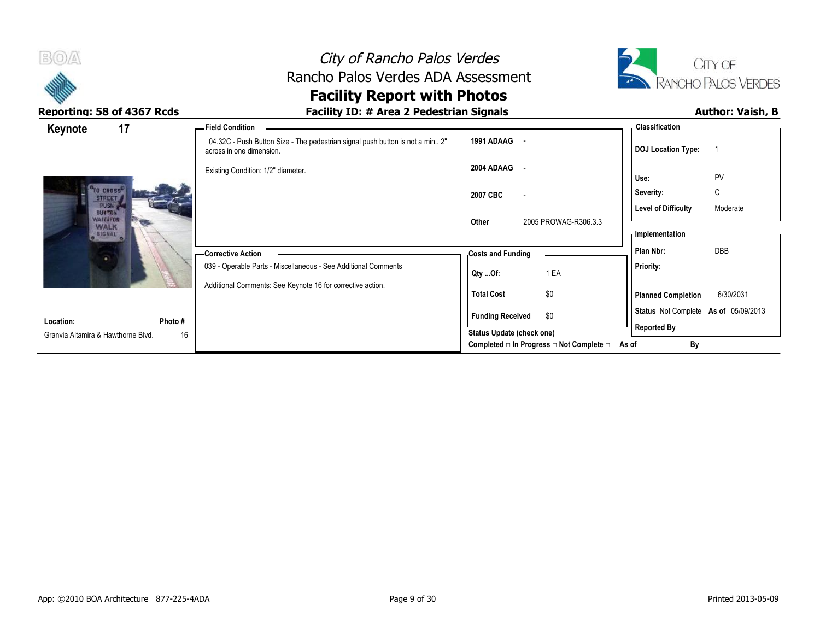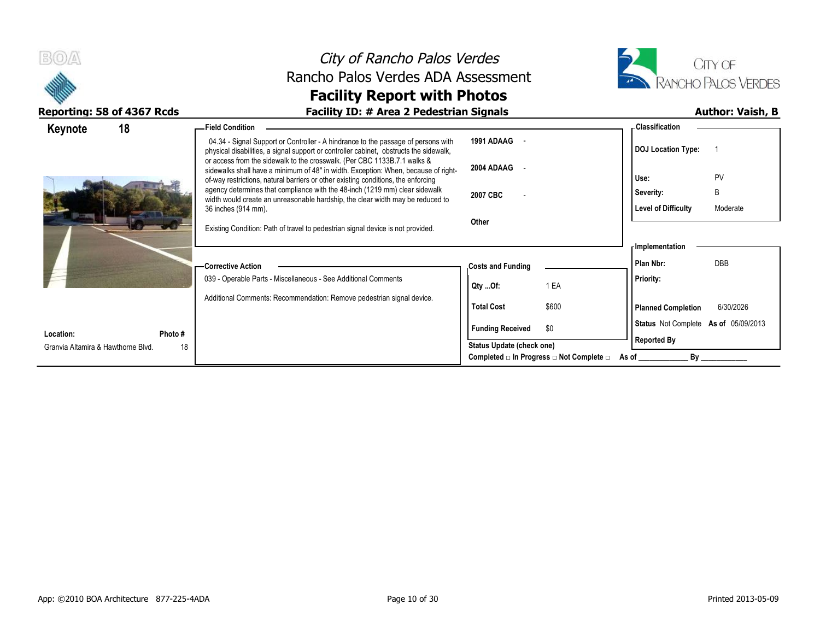



| 18<br>Keynote                            | - Field Condition                                                                                                                                                                                                                                       |                           |                                          | - Classification                                                                                                     |            |
|------------------------------------------|---------------------------------------------------------------------------------------------------------------------------------------------------------------------------------------------------------------------------------------------------------|---------------------------|------------------------------------------|----------------------------------------------------------------------------------------------------------------------|------------|
|                                          | 04.34 - Signal Support or Controller - A hindrance to the passage of persons with<br>physical disabilities, a signal support or controller cabinet, obstructs the sidewalk,<br>or access from the sidewalk to the crosswalk. (Per CBC 1133B.7.1 walks & | 1991 ADAAG                |                                          | <b>DOJ Location Type:</b>                                                                                            |            |
|                                          | sidewalks shall have a minimum of 48" in width. Exception: When, because of right-<br>of-way restrictions, natural barriers or other existing conditions, the enforcing                                                                                 | 2004 ADAAG -              |                                          | Use:                                                                                                                 | PV         |
|                                          | agency determines that compliance with the 48-inch (1219 mm) clear sidewalk<br>width would create an unreasonable hardship, the clear width may be reduced to                                                                                           | 2007 CBC                  |                                          | Severity:                                                                                                            | B          |
|                                          | 36 inches (914 mm).                                                                                                                                                                                                                                     | <b>Other</b>              |                                          | <b>Level of Difficulty</b>                                                                                           | Moderate   |
|                                          | Existing Condition: Path of travel to pedestrian signal device is not provided.                                                                                                                                                                         |                           |                                          |                                                                                                                      |            |
|                                          |                                                                                                                                                                                                                                                         |                           |                                          | <b>Implementation</b><br>Plan Nbr:                                                                                   | <b>DBB</b> |
|                                          | — Corrective Action                                                                                                                                                                                                                                     | <b>Costs and Funding</b>  |                                          |                                                                                                                      |            |
|                                          | 039 - Operable Parts - Miscellaneous - See Additional Comments                                                                                                                                                                                          | Qty Of:                   | 1 EA                                     | Priority:                                                                                                            |            |
|                                          | Additional Comments: Recommendation: Remove pedestrian signal device.                                                                                                                                                                                   | <b>Total Cost</b>         | \$600                                    | <b>Planned Completion</b>                                                                                            | 6/30/2026  |
| Photo #<br>Location:                     |                                                                                                                                                                                                                                                         | <b>Funding Received</b>   | \$0                                      | Status Not Complete As of 05/09/2013                                                                                 |            |
| 18<br>Granvia Altamira & Hawthorne Blvd. |                                                                                                                                                                                                                                                         | Status Update (check one) |                                          | <b>Reported By</b>                                                                                                   |            |
|                                          |                                                                                                                                                                                                                                                         |                           | Completed □ In Progress □ Not Complete □ | By<br>As of the control of the control of the control of the control of the control of the control of the control of |            |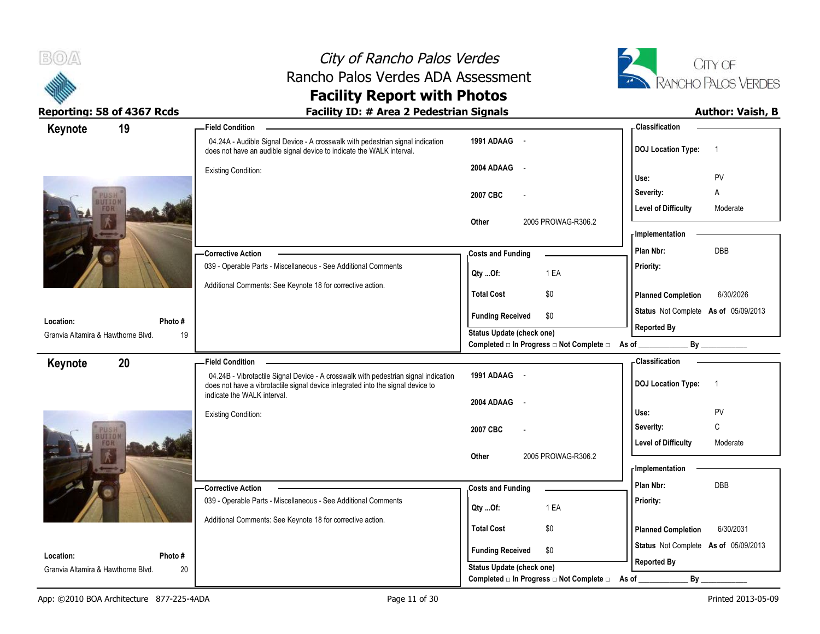



| Keynote                                         | 19            | - Field Condition                                                                                                                                       |                                                   | - Classification                            |
|-------------------------------------------------|---------------|---------------------------------------------------------------------------------------------------------------------------------------------------------|---------------------------------------------------|---------------------------------------------|
|                                                 |               | 04.24A - Audible Signal Device - A crosswalk with pedestrian signal indication<br>does not have an audible signal device to indicate the WALK interval. | 1991 ADAAG -                                      | <b>DOJ Location Type:</b><br>$\overline{1}$ |
|                                                 |               | <b>Existing Condition:</b>                                                                                                                              | 2004 ADAAG<br>$\sim$                              | Use:<br>PV                                  |
|                                                 |               |                                                                                                                                                         | 2007 CBC                                          | Severity:<br>Α                              |
|                                                 |               |                                                                                                                                                         | 2005 PROWAG-R306.2<br>Other                       | <b>Level of Difficulty</b><br>Moderate      |
|                                                 |               |                                                                                                                                                         |                                                   | - Implementation                            |
|                                                 |               | <b>Corrective Action</b>                                                                                                                                | <b>Costs and Funding</b>                          | DBB<br>Plan Nbr:                            |
|                                                 |               | 039 - Operable Parts - Miscellaneous - See Additional Comments                                                                                          | 1 EA<br>Qty Of:                                   | Priority:                                   |
|                                                 |               | Additional Comments: See Keynote 18 for corrective action.                                                                                              | \$0<br><b>Total Cost</b>                          | <b>Planned Completion</b><br>6/30/2026      |
|                                                 |               |                                                                                                                                                         | <b>Funding Received</b><br>\$0                    | Status Not Complete As of 05/09/2013        |
| Location:<br>Granvia Altamira & Hawthorne Blvd. | Photo#<br>19  |                                                                                                                                                         | Status Update (check one)                         | <b>Reported By</b>                          |
|                                                 |               |                                                                                                                                                         | Completed □ In Progress □ Not Complete □ As of __ | By                                          |
| Keynote                                         | 20            | <b>Field Condition</b>                                                                                                                                  |                                                   | - Classification                            |
|                                                 |               | 04.24B - Vibrotactile Signal Device - A crosswalk with pedestrian signal indication                                                                     | 1991 ADAAG -                                      |                                             |
|                                                 |               | does not have a vibrotactile signal device integrated into the signal device to                                                                         |                                                   | <b>DOJ Location Type:</b><br>$\overline{1}$ |
|                                                 |               | indicate the WALK interval.                                                                                                                             | 2004 ADAAG<br>$\sim$ $\sim$                       |                                             |
|                                                 |               | Existing Condition:                                                                                                                                     |                                                   | Use:<br>PV                                  |
|                                                 |               |                                                                                                                                                         | 2007 CBC                                          | C<br>Severity:<br>Moderate                  |
|                                                 |               |                                                                                                                                                         | 2005 PROWAG-R306.2<br>Other                       | <b>Level of Difficulty</b>                  |
|                                                 |               |                                                                                                                                                         |                                                   | <b>Implementation</b>                       |
|                                                 |               | - Corrective Action                                                                                                                                     | <b>Costs and Funding</b>                          | Plan Nbr:<br>DBB                            |
|                                                 |               | 039 - Operable Parts - Miscellaneous - See Additional Comments                                                                                          | 1 EA<br>Qty Of:                                   | Priority:                                   |
|                                                 |               | Additional Comments: See Keynote 18 for corrective action.                                                                                              | <b>Total Cost</b><br>\$0                          | <b>Planned Completion</b><br>6/30/2031      |
|                                                 |               |                                                                                                                                                         | <b>Funding Received</b><br>\$0                    | Status Not Complete As of 05/09/2013        |
| Location:<br>Granvia Altamira & Hawthorne Blvd. | Photo #<br>20 |                                                                                                                                                         | Status Update (check one)                         | <b>Reported By</b>                          |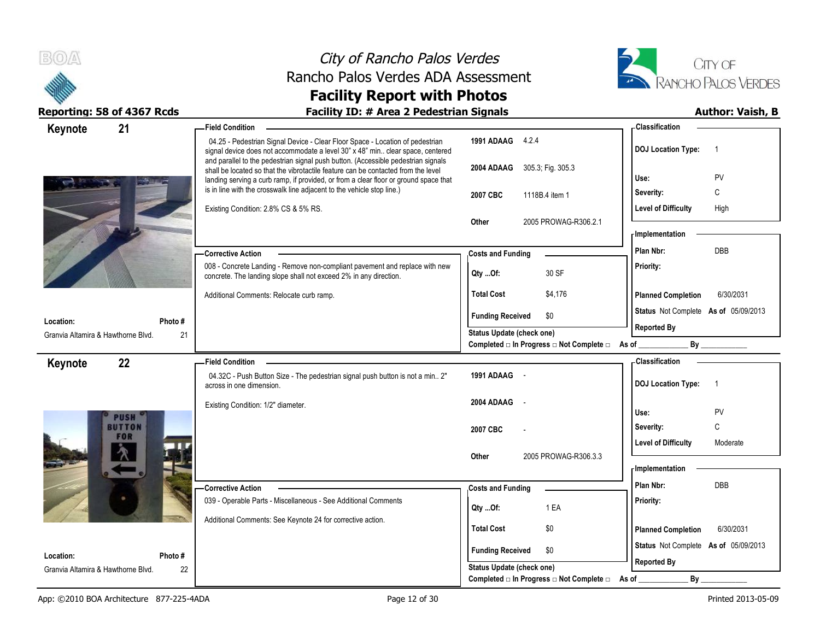



### **Reporting: 58 of 4367 Rcds Facility ID: # Area 2 Pedestrian Signals Author: Vaish, B**

| 21<br>Keynote                                              | <b>Field Condition</b>                                                                                                                                                                                                                                         |                                                         | - Classification                                                                                                                                                                                                               |
|------------------------------------------------------------|----------------------------------------------------------------------------------------------------------------------------------------------------------------------------------------------------------------------------------------------------------------|---------------------------------------------------------|--------------------------------------------------------------------------------------------------------------------------------------------------------------------------------------------------------------------------------|
|                                                            | 04.25 - Pedestrian Signal Device - Clear Floor Space - Location of pedestrian<br>signal device does not accommodate a level 30" x 48" min clear space, centered                                                                                                | 1991 ADAAG 4.2.4                                        | <b>DOJ Location Type:</b><br>$\overline{1}$                                                                                                                                                                                    |
|                                                            | and parallel to the pedestrian signal push button. (Accessible pedestrian signals<br>shall be located so that the vibrotactile feature can be contacted from the level<br>landing serving a curb ramp, if provided, or from a clear floor or ground space that | 2004 ADAAG<br>305.3; Fig. 305.3                         | PV<br>Use:                                                                                                                                                                                                                     |
|                                                            | is in line with the crosswalk line adjacent to the vehicle stop line.)                                                                                                                                                                                         | 2007 CBC<br>1118B.4 item 1                              | C<br>Severity:                                                                                                                                                                                                                 |
|                                                            | Existing Condition: 2.8% CS & 5% RS.                                                                                                                                                                                                                           |                                                         | <b>Level of Difficulty</b><br>High                                                                                                                                                                                             |
|                                                            |                                                                                                                                                                                                                                                                | <b>Other</b><br>2005 PROWAG-R306.2.1                    |                                                                                                                                                                                                                                |
|                                                            |                                                                                                                                                                                                                                                                |                                                         | - Implementation                                                                                                                                                                                                               |
|                                                            | <b>Corrective Action</b>                                                                                                                                                                                                                                       | <b>Costs and Funding</b>                                | <b>DBB</b><br>Plan Nbr:                                                                                                                                                                                                        |
|                                                            | 008 - Concrete Landing - Remove non-compliant pavement and replace with new<br>concrete. The landing slope shall not exceed 2% in any direction.                                                                                                               | 30 SF<br>Qty Of:                                        | Priority:                                                                                                                                                                                                                      |
|                                                            | Additional Comments: Relocate curb ramp.                                                                                                                                                                                                                       | <b>Total Cost</b><br>\$4,176                            | <b>Planned Completion</b><br>6/30/2031                                                                                                                                                                                         |
|                                                            |                                                                                                                                                                                                                                                                | <b>Funding Received</b><br>\$0                          | Status Not Complete As of 05/09/2013                                                                                                                                                                                           |
| Location:<br>Photo #<br>Granvia Altamira & Hawthorne Blvd. | 21                                                                                                                                                                                                                                                             | <b>Status Update (check one)</b>                        | <b>Reported By</b>                                                                                                                                                                                                             |
|                                                            |                                                                                                                                                                                                                                                                | Completed □ In Progress □ Not Complete □ As of ________ | By the contract of the contract of the contract of the contract of the contract of the contract of the contract of the contract of the contract of the contract of the contract of the contract of the contract of the contrac |
| Keynote<br>22                                              | <b>Field Condition</b>                                                                                                                                                                                                                                         |                                                         | - Classification                                                                                                                                                                                                               |
|                                                            | 04.32C - Push Button Size - The pedestrian signal push button is not a min 2"<br>across in one dimension.                                                                                                                                                      | 1991 ADAAG -                                            | <b>DOJ Location Type:</b><br>$\overline{1}$                                                                                                                                                                                    |
|                                                            | Existing Condition: 1/2" diameter.                                                                                                                                                                                                                             | 2004 ADAAG<br>$\overline{\phantom{a}}$                  |                                                                                                                                                                                                                                |
| <b>PUSH</b>                                                |                                                                                                                                                                                                                                                                |                                                         | PV<br>Use:                                                                                                                                                                                                                     |
| <b>BUTTON</b><br><b>FOR</b>                                |                                                                                                                                                                                                                                                                | 2007 CBC                                                | C<br>Severity:                                                                                                                                                                                                                 |
|                                                            |                                                                                                                                                                                                                                                                | 2005 PROWAG-R306.3.3<br><b>Other</b>                    | <b>Level of Difficulty</b><br>Moderate                                                                                                                                                                                         |
|                                                            |                                                                                                                                                                                                                                                                |                                                         | - Implementation                                                                                                                                                                                                               |
|                                                            | <b>Corrective Action</b>                                                                                                                                                                                                                                       | <b>Costs and Funding</b>                                | Plan Nbr:<br><b>DBB</b>                                                                                                                                                                                                        |
|                                                            | 039 - Operable Parts - Miscellaneous - See Additional Comments                                                                                                                                                                                                 |                                                         | Priority:                                                                                                                                                                                                                      |
|                                                            | Additional Comments: See Keynote 24 for corrective action.                                                                                                                                                                                                     | 1 EA<br>Qty Of:                                         |                                                                                                                                                                                                                                |
|                                                            |                                                                                                                                                                                                                                                                | <b>Total Cost</b><br>\$0                                | <b>Planned Completion</b><br>6/30/2031                                                                                                                                                                                         |
|                                                            |                                                                                                                                                                                                                                                                | <b>Funding Received</b><br>\$0                          | Status Not Complete As of 05/09/2013                                                                                                                                                                                           |
| Photo #<br>Location:<br>Granvia Altamira & Hawthorne Blvd. | 22                                                                                                                                                                                                                                                             | <b>Status Update (check one)</b>                        | <b>Reported By</b>                                                                                                                                                                                                             |
|                                                            |                                                                                                                                                                                                                                                                | Completed □ In Progress □ Not Complete □                | By<br>As of                                                                                                                                                                                                                    |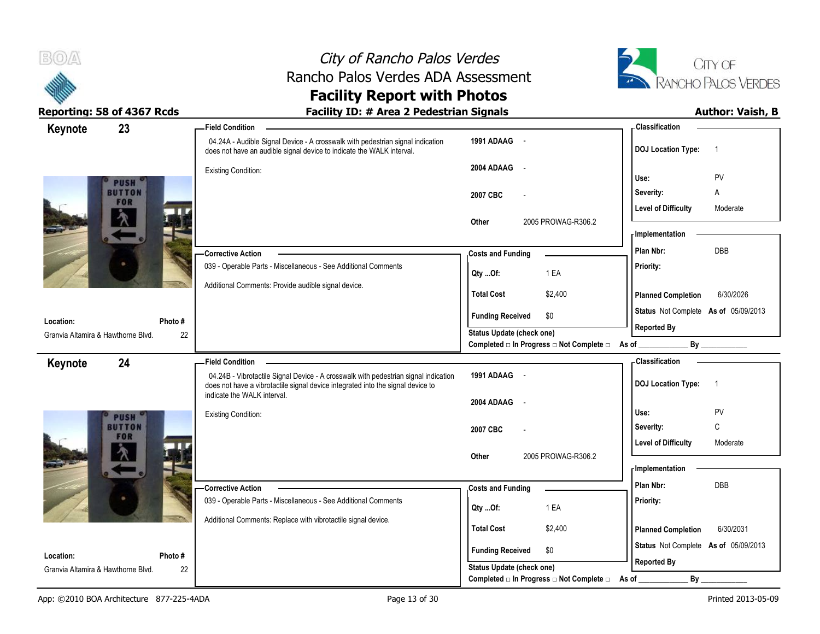



| 23<br>Keynote                                   |              | <b>Field Condition</b>                                                                                                                                                                                |                                                                              | <b>Classification</b>                                      |
|-------------------------------------------------|--------------|-------------------------------------------------------------------------------------------------------------------------------------------------------------------------------------------------------|------------------------------------------------------------------------------|------------------------------------------------------------|
|                                                 |              | 04.24A - Audible Signal Device - A crosswalk with pedestrian signal indication<br>does not have an audible signal device to indicate the WALK interval.                                               | 1991 ADAAG -                                                                 | <b>DOJ</b> Location Type:<br>- 1                           |
|                                                 |              | <b>Existing Condition:</b>                                                                                                                                                                            | 2004 ADAAG -                                                                 | Use:<br>PV                                                 |
| <b>PUSH</b><br><b>BUTTON</b><br><b>FOR</b>      |              |                                                                                                                                                                                                       | 2007 CBC                                                                     | Severity:<br>Α                                             |
| $\lambda$                                       |              |                                                                                                                                                                                                       | 2005 PROWAG-R306.2<br>Other                                                  | <b>Level of Difficulty</b><br>Moderate<br>- Implementation |
|                                                 |              | <b>Corrective Action</b>                                                                                                                                                                              | <b>Costs and Funding</b>                                                     | DBB<br>Plan Nbr:                                           |
|                                                 |              | 039 - Operable Parts - Miscellaneous - See Additional Comments                                                                                                                                        | 1 EA<br>Qty Of:                                                              | Priority:                                                  |
|                                                 |              | Additional Comments: Provide audible signal device.                                                                                                                                                   | <b>Total Cost</b><br>\$2,400                                                 | <b>Planned Completion</b><br>6/30/2026                     |
| Location:                                       | Photo#       |                                                                                                                                                                                                       | <b>Funding Received</b><br>\$0                                               | Status Not Complete As of 05/09/2013                       |
| Granvia Altamira & Hawthorne Blvd.              | 22           |                                                                                                                                                                                                       | Status Update (check one)                                                    | <b>Reported By</b>                                         |
|                                                 |              |                                                                                                                                                                                                       | Completed $\Box$ In Progress $\Box$ Not Complete $\Box$ As of _              | By                                                         |
| 24<br>Keynote                                   |              | <b>Field Condition</b>                                                                                                                                                                                |                                                                              | - Classification                                           |
|                                                 |              | 04.24B - Vibrotactile Signal Device - A crosswalk with pedestrian signal indication<br>does not have a vibrotactile signal device integrated into the signal device to<br>indicate the WALK interval. | 1991 ADAAG -                                                                 | <b>DOJ</b> Location Type:<br>$\overline{1}$                |
|                                                 |              |                                                                                                                                                                                                       | 2004 ADAAG<br>$\sim$                                                         | PV<br>Use:                                                 |
| <b>PUSH</b><br><b>BUTTON</b>                    |              | <b>Existing Condition:</b>                                                                                                                                                                            |                                                                              |                                                            |
| <b>FOR</b>                                      |              |                                                                                                                                                                                                       |                                                                              |                                                            |
|                                                 |              |                                                                                                                                                                                                       | 2007 CBC                                                                     | C<br>Severity:<br><b>Level of Difficulty</b><br>Moderate   |
| 介                                               |              |                                                                                                                                                                                                       | 2005 PROWAG-R306.2<br>Other                                                  |                                                            |
|                                                 |              |                                                                                                                                                                                                       |                                                                              | - Implementation<br>Plan Nbr:<br><b>DBB</b>                |
|                                                 |              | - Corrective Action<br>039 - Operable Parts - Miscellaneous - See Additional Comments                                                                                                                 | <b>Costs and Funding</b><br>1 EA                                             | Priority:                                                  |
|                                                 |              | Additional Comments: Replace with vibrotactile signal device.                                                                                                                                         | $Qty$ Of:<br><b>Total Cost</b><br>\$2,400                                    | 6/30/2031<br><b>Planned Completion</b>                     |
|                                                 |              |                                                                                                                                                                                                       | <b>Funding Received</b><br>\$0                                               | Status Not Complete As of 05/09/2013                       |
| Location:<br>Granvia Altamira & Hawthorne Blvd. | Photo#<br>22 |                                                                                                                                                                                                       | <b>Status Update (check one)</b><br>Completed □ In Progress □ Not Complete □ | <b>Reported By</b>                                         |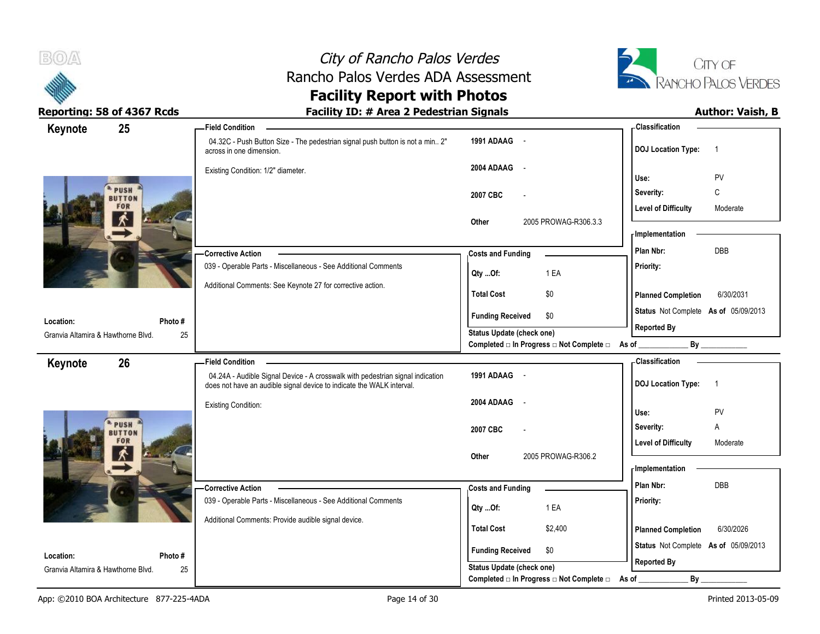



| 25<br>Keynote                            | - Field Condition                                                                                                                                       |                                                                       | - Classification                            |
|------------------------------------------|---------------------------------------------------------------------------------------------------------------------------------------------------------|-----------------------------------------------------------------------|---------------------------------------------|
|                                          | 04.32C - Push Button Size - The pedestrian signal push button is not a min 2"<br>across in one dimension.                                               | 1991 ADAAG -                                                          | <b>DOJ</b> Location Type:<br>$\overline{1}$ |
|                                          | Existing Condition: 1/2" diameter.                                                                                                                      | 2004 ADAAG<br>$\sim$                                                  | PV<br>Use:                                  |
| PUSH <sup>®</sup><br><b>BUTTON</b>       |                                                                                                                                                         | 2007 CBC<br>$\overline{\phantom{a}}$                                  | Severity:<br>C                              |
| <b>FOR</b>                               |                                                                                                                                                         |                                                                       | <b>Level of Difficulty</b><br>Moderate      |
|                                          |                                                                                                                                                         | 2005 PROWAG-R306.3.3<br>Other                                         | - Implementation                            |
|                                          | <b>Corrective Action</b>                                                                                                                                | <b>Costs and Funding</b>                                              | DBB<br>Plan Nbr:                            |
|                                          | 039 - Operable Parts - Miscellaneous - See Additional Comments                                                                                          | 1 EA<br>Qty Of:                                                       | Priority:                                   |
|                                          | Additional Comments: See Keynote 27 for corrective action.                                                                                              | <b>Total Cost</b><br>\$0                                              | <b>Planned Completion</b><br>6/30/2031      |
| Location:<br>Photo#                      |                                                                                                                                                         | <b>Funding Received</b><br>\$0                                        | Status Not Complete As of 05/09/2013        |
| Granvia Altamira & Hawthorne Blvd.<br>25 |                                                                                                                                                         | Status Update (check one)                                             | <b>Reported By</b>                          |
|                                          |                                                                                                                                                         | Completed □ In Progress □ Not Complete □ As of _                      |                                             |
| 26<br>Keynote                            | <b>Field Condition</b>                                                                                                                                  |                                                                       | - Classification                            |
|                                          | 04.24A - Audible Signal Device - A crosswalk with pedestrian signal indication<br>does not have an audible signal device to indicate the WALK interval. | 1991 ADAAG -                                                          | <b>DOJ</b> Location Type:<br>$\overline{1}$ |
|                                          | <b>Existing Condition:</b>                                                                                                                              | 2004 ADAAG<br>$\sim$                                                  | Use:<br>PV                                  |
| PUSH                                     |                                                                                                                                                         | 2007 CBC<br>$\overline{\phantom{a}}$                                  | Severity:<br>Α                              |
| <b>BUTTON</b><br>FOR                     |                                                                                                                                                         |                                                                       | <b>Level of Difficulty</b><br>Moderate      |
|                                          |                                                                                                                                                         |                                                                       |                                             |
|                                          |                                                                                                                                                         | 2005 PROWAG-R306.2<br>Other                                           |                                             |
|                                          |                                                                                                                                                         |                                                                       | <b>Implementation</b>                       |
|                                          | <b>Corrective Action</b>                                                                                                                                | <b>Costs and Funding</b>                                              | Plan Nbr:<br><b>DBB</b>                     |
|                                          | 039 - Operable Parts - Miscellaneous - See Additional Comments                                                                                          | 1 EA<br>Qty Of:                                                       | Priority:                                   |
|                                          | Additional Comments: Provide audible signal device.                                                                                                     | <b>Total Cost</b><br>\$2,400                                          | 6/30/2026<br><b>Planned Completion</b>      |
| Location:<br>Photo#                      |                                                                                                                                                         | <b>Funding Received</b><br>\$0                                        | Status Not Complete As of 05/09/2013        |
| Granvia Altamira & Hawthorne Blvd.<br>25 |                                                                                                                                                         | Status Update (check one)<br>Completed □ In Progress □ Not Complete □ | <b>Reported By</b><br>By                    |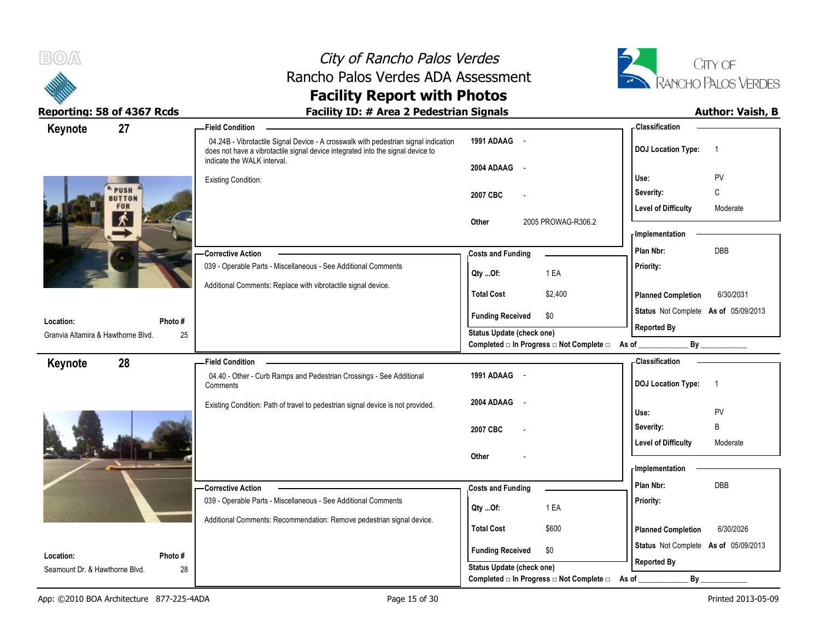

# City of Rancho Palos Verdes Rancho Palos Verdes ADA Assessment



# **Facility Report with Photos**

| Keynote                                     | 27            | - Field Condition                                                                                                                                                                                     |                                                | - Classification                                     |
|---------------------------------------------|---------------|-------------------------------------------------------------------------------------------------------------------------------------------------------------------------------------------------------|------------------------------------------------|------------------------------------------------------|
|                                             |               | 04.24B - Vibrotactile Signal Device - A crosswalk with pedestrian signal indication<br>does not have a vibrotactile signal device integrated into the signal device to<br>indicate the WALK interval. | 1991 ADAAG -                                   | <b>DOJ</b> Location Type:<br>$\overline{\mathbf{1}}$ |
|                                             |               |                                                                                                                                                                                                       | 2004 ADAAG<br>$\sim$                           |                                                      |
|                                             | PUSH          | Existing Condition:                                                                                                                                                                                   |                                                | PV<br>Use:                                           |
|                                             | <b>BUTTON</b> |                                                                                                                                                                                                       | 2007 CBC                                       | Severity:<br>C                                       |
|                                             | <b>FOR</b>    |                                                                                                                                                                                                       |                                                | <b>Level of Difficulty</b><br>Moderate               |
|                                             |               |                                                                                                                                                                                                       | 2005 PROWAG-R306.2<br>Other                    | - Implementation                                     |
|                                             |               |                                                                                                                                                                                                       |                                                |                                                      |
|                                             |               | <b>Corrective Action</b>                                                                                                                                                                              | <b>Costs and Funding</b>                       | <b>DBB</b><br>Plan Nbr:                              |
|                                             |               | 039 - Operable Parts - Miscellaneous - See Additional Comments                                                                                                                                        | 1 EA<br>Qty Of:                                | Priority:                                            |
|                                             |               | Additional Comments: Replace with vibrotactile signal device.                                                                                                                                         | <b>Total Cost</b><br>\$2,400                   | 6/30/2031                                            |
|                                             |               |                                                                                                                                                                                                       |                                                | <b>Planned Completion</b>                            |
| Location:                                   | Photo#        |                                                                                                                                                                                                       | <b>Funding Received</b><br>\$0                 | Status Not Complete As of 05/09/2013                 |
| Granvia Altamira & Hawthorne Blvd.          | 25            |                                                                                                                                                                                                       | <b>Status Update (check one)</b>               | <b>Reported By</b>                                   |
|                                             |               |                                                                                                                                                                                                       | Completed □ In Progress □ Not Complete □ As of | By                                                   |
| Keynote                                     | 28            | <b>Field Condition</b>                                                                                                                                                                                |                                                | - Classification                                     |
|                                             |               | 04.40 - Other - Curb Ramps and Pedestrian Crossings - See Additional<br>Comments                                                                                                                      | 1991 ADAAG -                                   | <b>DOJ</b> Location Type:<br>$\overline{1}$          |
|                                             |               |                                                                                                                                                                                                       | 2004 ADAAG<br>$\sim$                           |                                                      |
|                                             |               | Existing Condition: Path of travel to pedestrian signal device is not provided.                                                                                                                       |                                                | PV<br>Use:                                           |
|                                             |               |                                                                                                                                                                                                       | 2007 CBC                                       | B<br>Severity:                                       |
|                                             |               |                                                                                                                                                                                                       |                                                | <b>Level of Difficulty</b><br>Moderate               |
|                                             |               |                                                                                                                                                                                                       | Other                                          |                                                      |
|                                             |               |                                                                                                                                                                                                       |                                                | - Implementation                                     |
|                                             |               | -Corrective Action                                                                                                                                                                                    | <b>Costs and Funding</b>                       | DBB<br>Plan Nbr:                                     |
|                                             |               | 039 - Operable Parts - Miscellaneous - See Additional Comments                                                                                                                                        | 1 EA<br>Qty Of:                                | Priority:                                            |
|                                             |               | Additional Comments: Recommendation: Remove pedestrian signal device.                                                                                                                                 |                                                |                                                      |
|                                             |               |                                                                                                                                                                                                       | <b>Total Cost</b><br>\$600                     | <b>Planned Completion</b><br>6/30/2026               |
|                                             |               |                                                                                                                                                                                                       | <b>Funding Received</b><br>\$0                 | Status Not Complete As of 05/09/2013                 |
| Location:<br>Seamount Dr. & Hawthorne Blvd. | Photo#<br>28  |                                                                                                                                                                                                       | <b>Status Update (check one)</b>               | <b>Reported By</b>                                   |
|                                             |               |                                                                                                                                                                                                       | Completed □ In Progress □ Not Complete □       | By<br>As of                                          |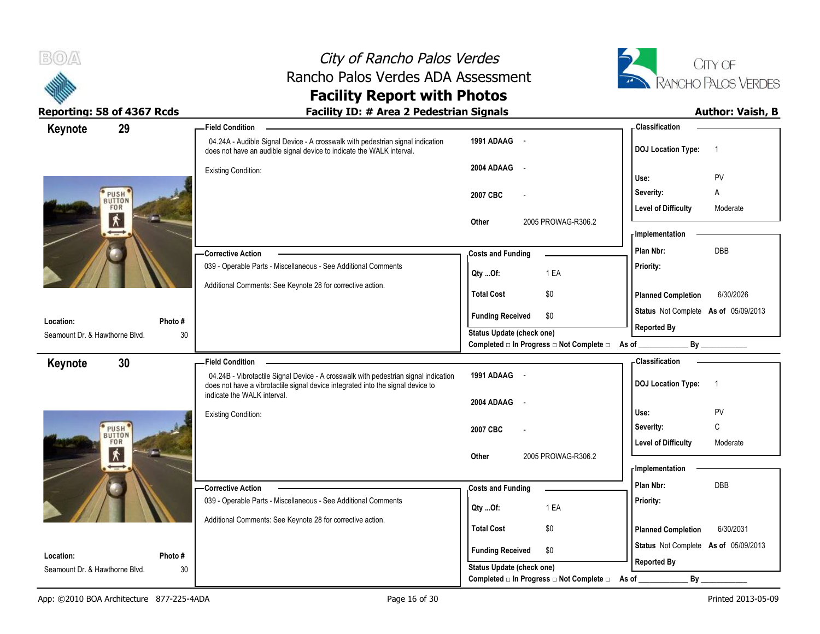



| 29<br>Keynote                  | <b>Field Condition</b>                                                                                                                                                 |                                                                                      | - Classification                            |
|--------------------------------|------------------------------------------------------------------------------------------------------------------------------------------------------------------------|--------------------------------------------------------------------------------------|---------------------------------------------|
|                                | 04.24A - Audible Signal Device - A crosswalk with pedestrian signal indication<br>does not have an audible signal device to indicate the WALK interval.                | 1991 ADAAG -                                                                         | <b>DOJ</b> Location Type:<br>$\overline{1}$ |
|                                | <b>Existing Condition:</b>                                                                                                                                             | 2004 ADAAG<br>$\sim$                                                                 |                                             |
|                                |                                                                                                                                                                        | 2007 CBC<br>$\overline{\phantom{a}}$                                                 | PV<br>Use:<br>Severity:<br>Α                |
| PUSH <sup>®</sup><br>FOR       |                                                                                                                                                                        |                                                                                      | <b>Level of Difficulty</b><br>Moderate      |
| 术                              |                                                                                                                                                                        | 2005 PROWAG-R306.2<br>Other                                                          | - Implementation                            |
|                                | -Corrective Action                                                                                                                                                     | <b>Costs and Funding</b>                                                             | <b>DBB</b><br>Plan Nbr:                     |
|                                | 039 - Operable Parts - Miscellaneous - See Additional Comments                                                                                                         | 1 EA<br>$Qty$ Of:                                                                    | Priority:                                   |
|                                | Additional Comments: See Keynote 28 for corrective action.                                                                                                             | \$0<br><b>Total Cost</b>                                                             | <b>Planned Completion</b><br>6/30/2026      |
| Location:                      | Photo#                                                                                                                                                                 | <b>Funding Received</b><br>\$0                                                       | Status Not Complete As of 05/09/2013        |
| Seamount Dr. & Hawthorne Blvd. | 30                                                                                                                                                                     | <b>Status Update (check one)</b><br>Completed □ In Progress □ Not Complete □ As of _ | <b>Reported By</b><br>By                    |
| 30<br>Keynote                  | <b>Field Condition</b>                                                                                                                                                 |                                                                                      | - Classification                            |
|                                | 04.24B - Vibrotactile Signal Device - A crosswalk with pedestrian signal indication<br>does not have a vibrotactile signal device integrated into the signal device to | 1991 ADAAG -                                                                         | <b>DOJ Location Type:</b><br>$\overline{1}$ |
|                                | indicate the WALK interval.                                                                                                                                            | 2004 ADAAG<br>$\sim$                                                                 |                                             |
|                                | Existing Condition:                                                                                                                                                    |                                                                                      | Use:<br>PV                                  |
| PUSH <sup>'</sup><br>BUTTON    |                                                                                                                                                                        | 2007 CBC                                                                             | C<br>Severity:                              |
| <b>FOR</b><br>术                |                                                                                                                                                                        | 2005 PROWAG-R306.2<br>Other                                                          | <b>Level of Difficulty</b><br>Moderate      |
|                                |                                                                                                                                                                        |                                                                                      | - Implementation                            |
|                                | -Corrective Action                                                                                                                                                     | <b>Costs and Funding</b>                                                             | Plan Nbr:<br>DBB                            |
|                                | 039 - Operable Parts - Miscellaneous - See Additional Comments                                                                                                         | 1 EA<br>Qty Of:                                                                      | Priority:                                   |
|                                | Additional Comments: See Keynote 28 for corrective action.                                                                                                             | <b>Total Cost</b><br>\$0                                                             | <b>Planned Completion</b><br>6/30/2031      |
|                                |                                                                                                                                                                        | <b>Funding Received</b><br>\$0                                                       | Status Not Complete As of 05/09/2013        |
| Location:                      | Photo#                                                                                                                                                                 |                                                                                      | <b>Reported By</b>                          |
| Seamount Dr. & Hawthorne Blvd. | 30                                                                                                                                                                     | Status Update (check one)                                                            |                                             |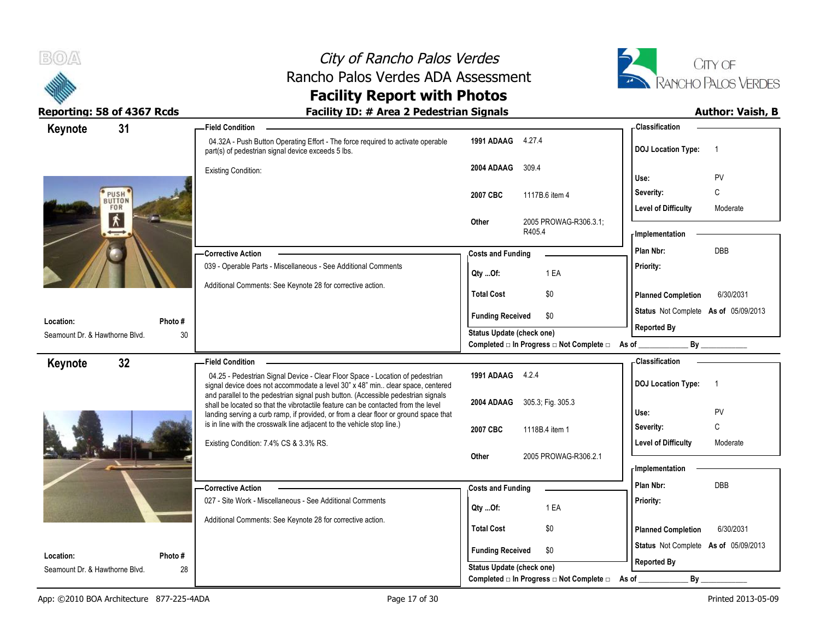



| 31<br>Keynote                                                | <b>Field Condition</b>                                                                                                                                                    |                                                  | <b>Classification</b>                                 |
|--------------------------------------------------------------|---------------------------------------------------------------------------------------------------------------------------------------------------------------------------|--------------------------------------------------|-------------------------------------------------------|
|                                                              | 04.32A - Push Button Operating Effort - The force required to activate operable<br>part(s) of pedestrian signal device exceeds 5 lbs.                                     | 1991 ADAAG 4.27.4                                | <b>DOJ Location Type:</b><br>$\overline{\phantom{1}}$ |
|                                                              | <b>Existing Condition:</b>                                                                                                                                                | 2004 ADAAG<br>309.4                              |                                                       |
|                                                              |                                                                                                                                                                           |                                                  | PV<br>Use:                                            |
| <b>PUSH</b><br><b>FOR</b>                                    |                                                                                                                                                                           | 1117B.6 item 4<br>2007 CBC                       | C<br>Severity:                                        |
| 术                                                            |                                                                                                                                                                           | 2005 PROWAG-R306.3.1;<br>Other                   | Level of Difficulty<br>Moderate                       |
|                                                              |                                                                                                                                                                           | R405.4                                           | - Implementation                                      |
|                                                              | - Corrective Action                                                                                                                                                       | <b>Costs and Funding</b>                         | DBB<br>Plan Nbr:                                      |
|                                                              | 039 - Operable Parts - Miscellaneous - See Additional Comments                                                                                                            | 1 EA<br>Qty Of:                                  | Priority:                                             |
|                                                              | Additional Comments: See Keynote 28 for corrective action.                                                                                                                | \$0<br><b>Total Cost</b>                         | 6/30/2031<br><b>Planned Completion</b>                |
| Location:<br>Photo #                                         |                                                                                                                                                                           | \$0<br><b>Funding Received</b>                   | Status Not Complete As of 05/09/2013                  |
| 30<br>Seamount Dr. & Hawthorne Blvd.                         |                                                                                                                                                                           | Status Update (check one)                        | <b>Reported By</b>                                    |
|                                                              |                                                                                                                                                                           | Completed □ In Progress □ Not Complete □ As of _ | By                                                    |
| 32<br>Keynote                                                | <b>Field Condition</b>                                                                                                                                                    |                                                  | - Classification                                      |
|                                                              |                                                                                                                                                                           |                                                  |                                                       |
|                                                              | 04.25 - Pedestrian Signal Device - Clear Floor Space - Location of pedestrian<br>signal device does not accommodate a level 30" x 48" min clear space, centered           | 1991 ADAAG 4.2.4                                 | <b>DOJ</b> Location Type:<br>$\overline{1}$           |
|                                                              | and parallel to the pedestrian signal push button. (Accessible pedestrian signals                                                                                         |                                                  |                                                       |
|                                                              | shall be located so that the vibrotactile feature can be contacted from the level<br>landing serving a curb ramp, if provided, or from a clear floor or ground space that | 2004 ADAAG 305.3; Fig. 305.3                     | Use:<br><b>PV</b>                                     |
|                                                              | is in line with the crosswalk line adjacent to the vehicle stop line.)                                                                                                    | 2007 CBC<br>1118B.4 item 1                       | C<br>Severity:                                        |
|                                                              | Existing Condition: 7.4% CS & 3.3% RS.                                                                                                                                    |                                                  | <b>Level of Difficulty</b><br>Moderate                |
|                                                              |                                                                                                                                                                           | 2005 PROWAG-R306.2.1<br>Other                    |                                                       |
|                                                              |                                                                                                                                                                           |                                                  | - Implementation                                      |
|                                                              | - Corrective Action                                                                                                                                                       | <b>Costs and Funding</b>                         | Plan Nbr:<br>DBB                                      |
|                                                              | 027 - Site Work - Miscellaneous - See Additional Comments                                                                                                                 | 1 EA<br>Qty Of:                                  | Priority:                                             |
|                                                              | Additional Comments: See Keynote 28 for corrective action.                                                                                                                | <b>Total Cost</b><br>\$0                         | <b>Planned Completion</b><br>6/30/2031                |
|                                                              |                                                                                                                                                                           | <b>Funding Received</b><br>\$0                   | Status Not Complete As of 05/09/2013                  |
| Location:<br>Photo #<br>Seamount Dr. & Hawthorne Blvd.<br>28 |                                                                                                                                                                           | Status Update (check one)                        | <b>Reported By</b>                                    |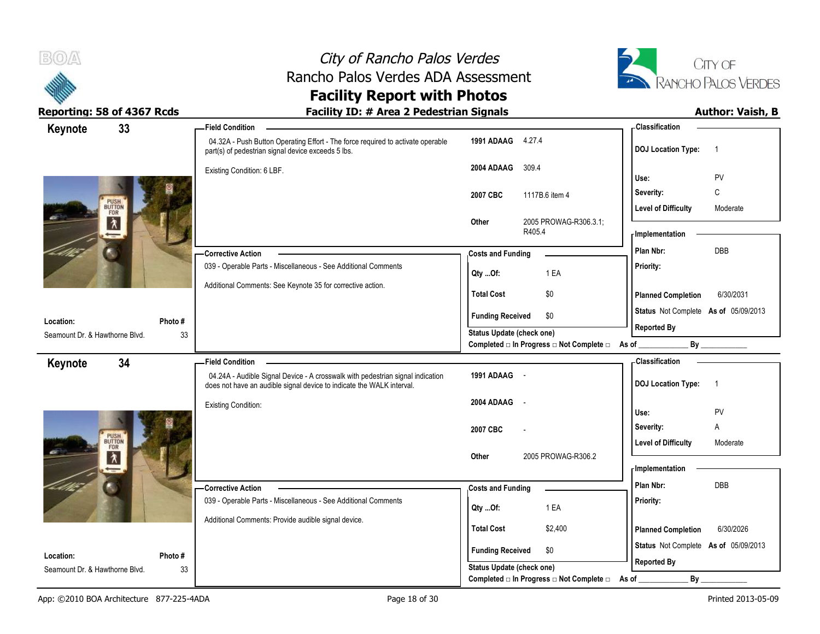



| 33<br>Keynote                        | - Field Condition                                                                                                                                       |                                                   | - Classification                            |
|--------------------------------------|---------------------------------------------------------------------------------------------------------------------------------------------------------|---------------------------------------------------|---------------------------------------------|
|                                      | 04.32A - Push Button Operating Effort - The force required to activate operable<br>part(s) of pedestrian signal device exceeds 5 lbs.                   | 1991 ADAAG 4.27.4                                 | <b>DOJ Location Type:</b><br>$\overline{1}$ |
|                                      | Existing Condition: 6 LBF.                                                                                                                              | 2004 ADAAG<br>309.4                               |                                             |
|                                      |                                                                                                                                                         |                                                   | PV<br>Use:                                  |
|                                      |                                                                                                                                                         | 2007 CBC<br>1117B.6 item 4                        | C<br>Severity:                              |
| PUSH<br>BUTTON<br>FOR                |                                                                                                                                                         |                                                   | <b>Level of Difficulty</b><br>Moderate      |
| $\overline{\lambda}$                 |                                                                                                                                                         | 2005 PROWAG-R306.3.1;<br>Other<br>R405.4          | - Implementation                            |
|                                      |                                                                                                                                                         |                                                   | DBB<br>Plan Nbr:                            |
|                                      | - Corrective Action<br>039 - Operable Parts - Miscellaneous - See Additional Comments                                                                   | <b>Costs and Funding</b>                          | Priority:                                   |
|                                      |                                                                                                                                                         | 1 EA<br>$Qty$ Of:                                 |                                             |
|                                      | Additional Comments: See Keynote 35 for corrective action.                                                                                              | \$0<br><b>Total Cost</b>                          | <b>Planned Completion</b><br>6/30/2031      |
|                                      |                                                                                                                                                         | \$0<br><b>Funding Received</b>                    | Status Not Complete As of 05/09/2013        |
| Location:<br>Photo #                 |                                                                                                                                                         | Status Update (check one)                         | <b>Reported By</b>                          |
| 33<br>Seamount Dr. & Hawthorne Blvd. |                                                                                                                                                         | Completed □ In Progress □ Not Complete □ As of __ |                                             |
| 34<br>Keynote                        | <b>Field Condition</b>                                                                                                                                  |                                                   | <b>Classification</b>                       |
|                                      | 04.24A - Audible Signal Device - A crosswalk with pedestrian signal indication<br>does not have an audible signal device to indicate the WALK interval. | 1991 ADAAG -                                      | <b>DOJ Location Type:</b><br>$\overline{1}$ |
|                                      | <b>Existing Condition:</b>                                                                                                                              | 2004 ADAAG -                                      |                                             |
|                                      |                                                                                                                                                         |                                                   | Use:<br>PV                                  |
|                                      |                                                                                                                                                         | 2007 CBC                                          | Severity:<br>Α                              |
| PUSH<br>FOR                          |                                                                                                                                                         |                                                   | <b>Level of Difficulty</b><br>Moderate      |
| $\lambda$                            |                                                                                                                                                         | 2005 PROWAG-R306.2<br>Other                       |                                             |
|                                      |                                                                                                                                                         |                                                   | - Implementation                            |
|                                      | <b>Corrective Action</b>                                                                                                                                | <b>Costs and Funding</b>                          | Plan Nbr:<br>DBB                            |
|                                      | 039 - Operable Parts - Miscellaneous - See Additional Comments                                                                                          | 1 EA<br>Qty Of:                                   | Priority:                                   |
|                                      | Additional Comments: Provide audible signal device.                                                                                                     |                                                   |                                             |
|                                      |                                                                                                                                                         | <b>Total Cost</b><br>\$2,400                      | 6/30/2026<br><b>Planned Completion</b>      |
| Location:<br>Photo#                  |                                                                                                                                                         | <b>Funding Received</b><br>\$0                    | Status Not Complete As of 05/09/2013        |
| Seamount Dr. & Hawthorne Blvd.<br>33 |                                                                                                                                                         | Status Update (check one)                         | <b>Reported By</b>                          |
|                                      |                                                                                                                                                         | Completed □ In Progress □ Not Complete □          | By<br>As of                                 |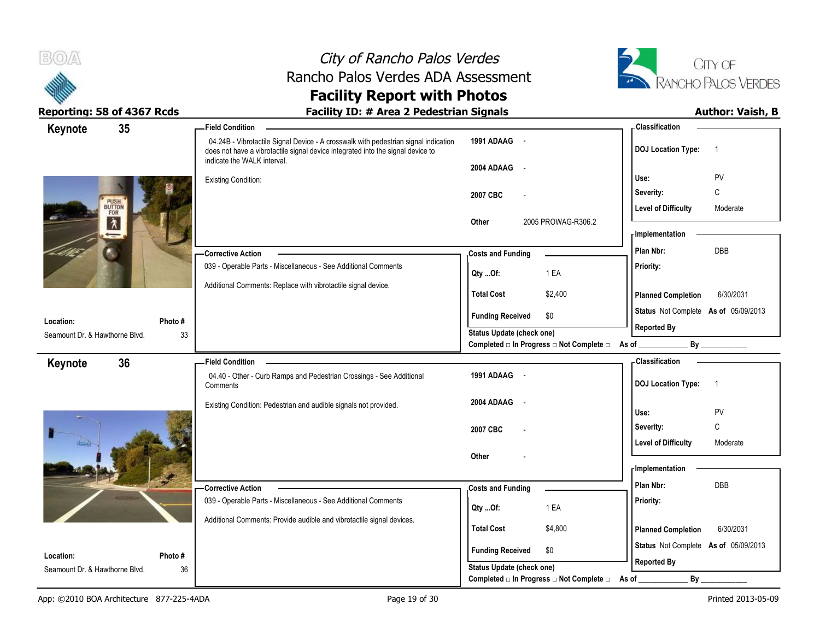

# City of Rancho Palos Verdes Rancho Palos Verdes ADA Assessment



| Keynote                        | 35     | <b>Field Condition</b>                                                                                                                                                                                |                                                                 | - Classification                            |
|--------------------------------|--------|-------------------------------------------------------------------------------------------------------------------------------------------------------------------------------------------------------|-----------------------------------------------------------------|---------------------------------------------|
|                                |        | 04.24B - Vibrotactile Signal Device - A crosswalk with pedestrian signal indication<br>does not have a vibrotactile signal device integrated into the signal device to<br>indicate the WALK interval. | 1991 ADAAG -                                                    | <b>DOJ Location Type:</b><br>$\overline{1}$ |
|                                |        |                                                                                                                                                                                                       | 2004 ADAAG<br>$\sim$ $-$                                        |                                             |
|                                |        | <b>Existing Condition:</b>                                                                                                                                                                            |                                                                 | PV<br>Use:                                  |
|                                |        |                                                                                                                                                                                                       | 2007 CBC                                                        | C<br>Severity:                              |
| PUSH<br>BUTTON<br>FOR          |        |                                                                                                                                                                                                       |                                                                 | <b>Level of Difficulty</b><br>Moderate      |
|                                |        |                                                                                                                                                                                                       | 2005 PROWAG-R306.2<br>Other                                     | <b>Implementation</b>                       |
|                                |        |                                                                                                                                                                                                       |                                                                 | <b>DBB</b>                                  |
|                                |        | - Corrective Action                                                                                                                                                                                   | <b>Costs and Funding</b>                                        | Plan Nbr:                                   |
|                                |        | 039 - Operable Parts - Miscellaneous - See Additional Comments                                                                                                                                        | 1 EA<br>Qty Of:                                                 | Priority:                                   |
|                                |        | Additional Comments: Replace with vibrotactile signal device.                                                                                                                                         | <b>Total Cost</b><br>\$2,400                                    | 6/30/2031<br><b>Planned Completion</b>      |
| Location:                      | Photo# |                                                                                                                                                                                                       | <b>Funding Received</b><br>\$0                                  | Status Not Complete As of 05/09/2013        |
| Seamount Dr. & Hawthorne Blvd. | 33     |                                                                                                                                                                                                       | <b>Status Update (check one)</b>                                | <b>Reported By</b>                          |
|                                |        |                                                                                                                                                                                                       | Completed $\Box$ In Progress $\Box$ Not Complete $\Box$ As of _ |                                             |
| Keynote                        | 36     | <b>Field Condition</b>                                                                                                                                                                                |                                                                 | - Classification                            |
|                                |        | 04.40 - Other - Curb Ramps and Pedestrian Crossings - See Additional<br>Comments                                                                                                                      | 1991 ADAAG -                                                    | <b>DOJ Location Type:</b><br>$\overline{1}$ |
|                                |        | Existing Condition: Pedestrian and audible signals not provided.                                                                                                                                      | 2004 ADAAG<br>$\sim$                                            | PV<br>Use:                                  |
|                                |        |                                                                                                                                                                                                       |                                                                 | C<br>Severity:                              |
|                                |        |                                                                                                                                                                                                       | 2007 CBC                                                        |                                             |
|                                |        |                                                                                                                                                                                                       | Other                                                           | <b>Level of Difficulty</b><br>Moderate      |
|                                |        |                                                                                                                                                                                                       |                                                                 | - Implementation                            |
|                                |        | - Corrective Action                                                                                                                                                                                   |                                                                 | DBB<br>Plan Nbr:                            |
|                                |        | 039 - Operable Parts - Miscellaneous - See Additional Comments                                                                                                                                        | <b>Costs and Funding</b>                                        | Priority:                                   |
|                                |        |                                                                                                                                                                                                       | 1 EA<br>Qty Of:                                                 |                                             |
|                                |        | Additional Comments: Provide audible and vibrotactile signal devices.                                                                                                                                 | <b>Total Cost</b><br>\$4,800                                    | <b>Planned Completion</b><br>6/30/2031      |
|                                |        |                                                                                                                                                                                                       |                                                                 | Status Not Complete As of 05/09/2013        |
| Location:                      | Photo# |                                                                                                                                                                                                       | <b>Funding Received</b><br>\$0                                  | <b>Reported By</b>                          |
| Seamount Dr. & Hawthorne Blvd. | 36     |                                                                                                                                                                                                       | Status Update (check one)                                       |                                             |
|                                |        |                                                                                                                                                                                                       | Completed □ In Progress □ Not Complete □                        | By<br>As of                                 |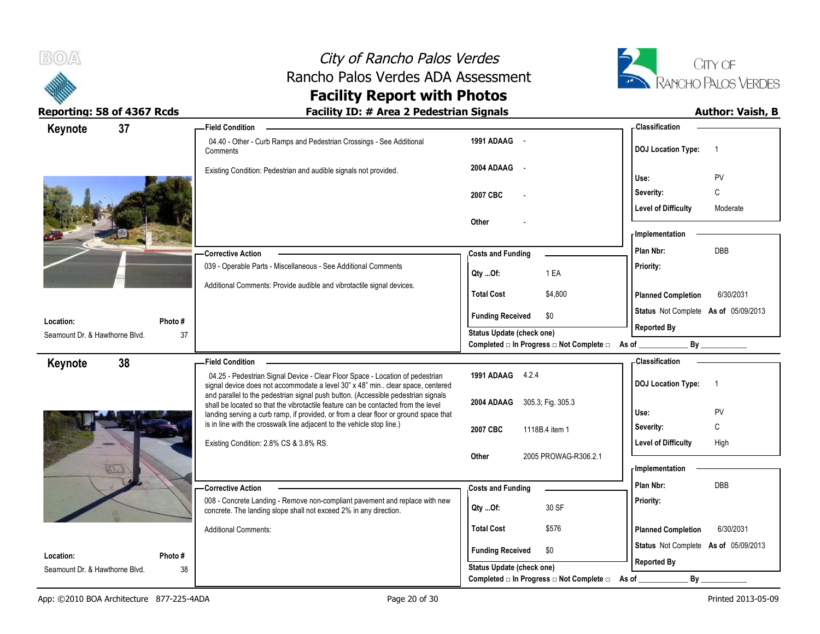



| Keynote                        | 37      | - Field Condition                                                                                                                                                         |                                                                          | - Classification                            |
|--------------------------------|---------|---------------------------------------------------------------------------------------------------------------------------------------------------------------------------|--------------------------------------------------------------------------|---------------------------------------------|
|                                |         | 04.40 - Other - Curb Ramps and Pedestrian Crossings - See Additional<br>Comments                                                                                          | 1991 ADAAG -                                                             | <b>DOJ Location Type:</b><br>$\overline{1}$ |
|                                |         | Existing Condition: Pedestrian and audible signals not provided.                                                                                                          | 2004 ADAAG -                                                             | PV<br>Use:                                  |
|                                |         |                                                                                                                                                                           | 2007 CBC                                                                 | Severity:<br>C                              |
|                                |         |                                                                                                                                                                           |                                                                          | <b>Level of Difficulty</b><br>Moderate      |
|                                |         |                                                                                                                                                                           | Other                                                                    |                                             |
|                                |         |                                                                                                                                                                           |                                                                          | - Implementation                            |
|                                |         | <b>Corrective Action</b>                                                                                                                                                  | <b>Costs and Funding</b>                                                 | <b>DBB</b><br>Plan Nbr:                     |
|                                |         | 039 - Operable Parts - Miscellaneous - See Additional Comments                                                                                                            | 1 EA<br>Qty Of:                                                          | Priority:                                   |
|                                |         | Additional Comments: Provide audible and vibrotactile signal devices.                                                                                                     | \$4,800<br><b>Total Cost</b>                                             | <b>Planned Completion</b><br>6/30/2031      |
| Location:                      | Photo # |                                                                                                                                                                           | \$0<br><b>Funding Received</b>                                           | Status Not Complete As of 05/09/2013        |
| Seamount Dr. & Hawthorne Blvd. | 37      |                                                                                                                                                                           | <b>Status Update (check one)</b>                                         | <b>Reported By</b>                          |
|                                |         |                                                                                                                                                                           | Completed $\square$ In Progress $\square$ Not Complete $\square$ As of _ | By                                          |
| Keynote                        | 38      | Field Condition –                                                                                                                                                         |                                                                          | <b>Classification</b>                       |
|                                |         | 04.25 - Pedestrian Signal Device - Clear Floor Space - Location of pedestrian<br>signal device does not accommodate a level 30" x 48" min clear space, centered           | 1991 ADAAG 4.2.4                                                         | <b>DOJ Location Type:</b><br>$\overline{1}$ |
|                                |         | and parallel to the pedestrian signal push button. (Accessible pedestrian signals                                                                                         | 2004 ADAAG<br>305.3; Fig. 305.3                                          |                                             |
|                                |         |                                                                                                                                                                           |                                                                          |                                             |
|                                |         | shall be located so that the vibrotactile feature can be contacted from the level<br>landing serving a curb ramp, if provided, or from a clear floor or ground space that |                                                                          | Use:<br>PV                                  |
|                                |         | is in line with the crosswalk line adjacent to the vehicle stop line.)                                                                                                    | 2007 CBC<br>1118B.4 item 1                                               | C<br>Severity:                              |
|                                |         | Existing Condition: 2.8% CS & 3.8% RS.                                                                                                                                    |                                                                          | <b>Level of Difficulty</b><br>High          |
|                                |         |                                                                                                                                                                           | 2005 PROWAG-R306.2.1<br>Other                                            | <b>Implementation</b>                       |
|                                |         |                                                                                                                                                                           |                                                                          | Plan Nbr:<br><b>DBB</b>                     |
|                                |         | - Corrective Action<br>008 - Concrete Landing - Remove non-compliant pavement and replace with new                                                                        | <b>Costs and Funding</b>                                                 |                                             |
|                                |         | concrete. The landing slope shall not exceed 2% in any direction.                                                                                                         | 30 SF<br>Qty  Of:                                                        | Priority:                                   |
|                                |         | <b>Additional Comments:</b>                                                                                                                                               | <b>Total Cost</b><br>\$576                                               | <b>Planned Completion</b><br>6/30/2031      |
| Location:                      | Photo # |                                                                                                                                                                           | <b>Funding Received</b><br>\$0                                           | Status Not Complete As of 05/09/2013        |
| Seamount Dr. & Hawthorne Blvd. | 38      |                                                                                                                                                                           | Status Update (check one)<br>Completed □ In Progress □ Not Complete □    | <b>Reported By</b><br>By<br>As of           |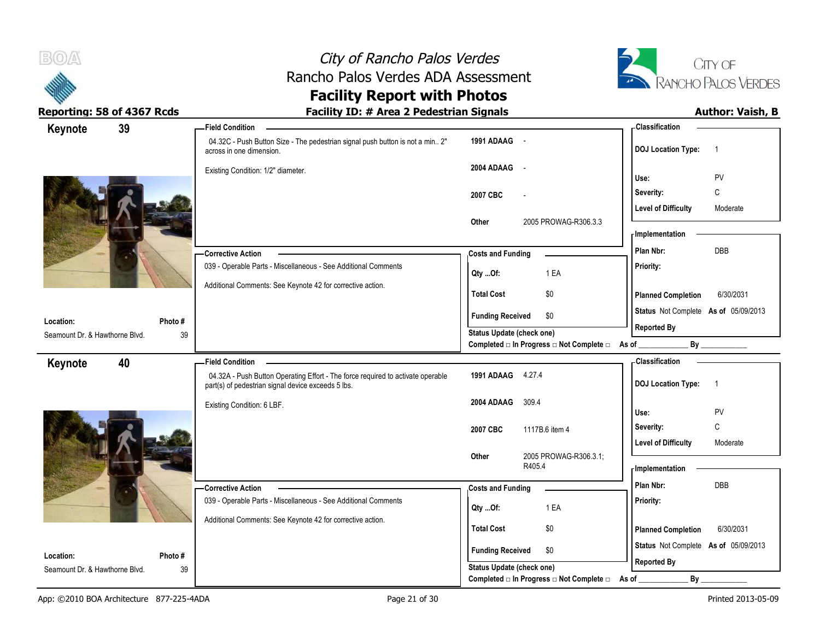



| Keynote                                     | 39           | <b>Field Condition</b>                                                                                                                |                                                                       | - Classification                            |
|---------------------------------------------|--------------|---------------------------------------------------------------------------------------------------------------------------------------|-----------------------------------------------------------------------|---------------------------------------------|
|                                             |              | 04.32C - Push Button Size - The pedestrian signal push button is not a min 2"<br>across in one dimension.                             | 1991 ADAAG -                                                          | <b>DOJ Location Type:</b><br>$\overline{1}$ |
|                                             |              | Existing Condition: 1/2" diameter.                                                                                                    | 2004 ADAAG<br>$\sim$                                                  | PV<br>Use:                                  |
|                                             |              |                                                                                                                                       | 2007 CBC                                                              | C<br>Severity:                              |
|                                             |              |                                                                                                                                       |                                                                       | <b>Level of Difficulty</b><br>Moderate      |
|                                             |              |                                                                                                                                       | 2005 PROWAG-R306.3.3<br>Other                                         |                                             |
|                                             |              |                                                                                                                                       |                                                                       | - Implementation                            |
|                                             |              | - Corrective Action                                                                                                                   | <b>Costs and Funding</b>                                              | DBB<br>Plan Nbr:                            |
|                                             |              | 039 - Operable Parts - Miscellaneous - See Additional Comments                                                                        | 1 EA<br>Qty Of:                                                       | Priority:                                   |
|                                             |              | Additional Comments: See Keynote 42 for corrective action.                                                                            | <b>Total Cost</b><br>\$0                                              | <b>Planned Completion</b><br>6/30/2031      |
|                                             |              |                                                                                                                                       | <b>Funding Received</b><br>\$0                                        | Status Not Complete As of 05/09/2013        |
| Location:<br>Seamount Dr. & Hawthorne Blvd. | Photo#<br>39 |                                                                                                                                       | <b>Status Update (check one)</b>                                      | <b>Reported By</b>                          |
|                                             |              |                                                                                                                                       | Completed □ In Progress □ Not Complete □ As of _                      | By                                          |
| Keynote                                     | 40           | <b>Field Condition</b>                                                                                                                |                                                                       | - Classification                            |
|                                             |              | 04.32A - Push Button Operating Effort - The force required to activate operable<br>part(s) of pedestrian signal device exceeds 5 lbs. | 1991 ADAAG 4.27.4                                                     | <b>DOJ Location Type:</b><br>$\overline{1}$ |
|                                             |              | Existing Condition: 6 LBF.                                                                                                            | 309.4<br>2004 ADAAG                                                   |                                             |
|                                             |              |                                                                                                                                       |                                                                       | Use:<br>PV<br>$\mathbb C$<br>Severity:      |
|                                             |              |                                                                                                                                       | 2007 CBC<br>1117B.6 item 4                                            | <b>Level of Difficulty</b><br>Moderate      |
|                                             |              |                                                                                                                                       | 2005 PROWAG-R306.3.1;<br>Other                                        |                                             |
|                                             |              |                                                                                                                                       | R405.4                                                                | <b>Implementation</b>                       |
|                                             |              |                                                                                                                                       |                                                                       |                                             |
|                                             |              | -Corrective Action                                                                                                                    | <b>Costs and Funding</b>                                              | Plan Nbr:<br>DBB                            |
|                                             |              | 039 - Operable Parts - Miscellaneous - See Additional Comments                                                                        |                                                                       | Priority:                                   |
|                                             |              | Additional Comments: See Keynote 42 for corrective action.                                                                            | 1 EA<br>Qty Of:                                                       |                                             |
|                                             |              |                                                                                                                                       | <b>Total Cost</b><br>\$0                                              | <b>Planned Completion</b><br>6/30/2031      |
| Location:                                   | Photo#       |                                                                                                                                       | <b>Funding Received</b><br>\$0                                        | Status Not Complete As of 05/09/2013        |
| Seamount Dr. & Hawthorne Blvd.              | 39           |                                                                                                                                       | Status Update (check one)<br>Completed □ In Progress □ Not Complete □ | <b>Reported By</b><br>By<br>As of           |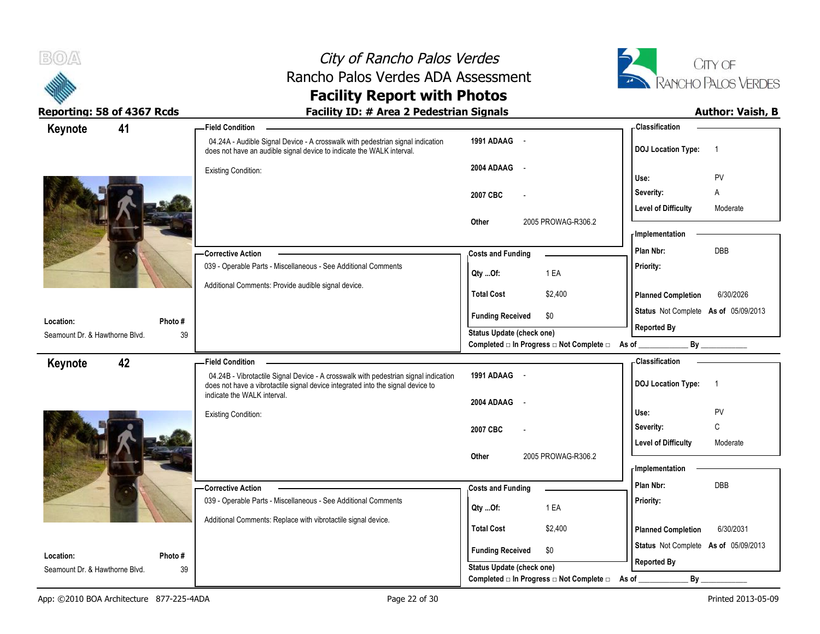



| Keynote                        | 41      | <b>Field Condition</b>                                                                                                                                  |                                                                          | - Classification                            |
|--------------------------------|---------|---------------------------------------------------------------------------------------------------------------------------------------------------------|--------------------------------------------------------------------------|---------------------------------------------|
|                                |         | 04.24A - Audible Signal Device - A crosswalk with pedestrian signal indication<br>does not have an audible signal device to indicate the WALK interval. | 1991 ADAAG -                                                             | <b>DOJ</b> Location Type:<br>$\overline{1}$ |
|                                |         | <b>Existing Condition:</b>                                                                                                                              | 2004 ADAAG<br>$\sim$                                                     |                                             |
|                                |         |                                                                                                                                                         |                                                                          | PV<br>Use:                                  |
|                                |         |                                                                                                                                                         | 2007 CBC                                                                 | Severity:<br>Α                              |
|                                |         |                                                                                                                                                         |                                                                          | <b>Level of Difficulty</b><br>Moderate      |
|                                |         |                                                                                                                                                         | 2005 PROWAG-R306.2<br><b>Other</b>                                       | <b>Implementation</b>                       |
|                                |         |                                                                                                                                                         |                                                                          | <b>DBB</b><br>Plan Nbr:                     |
|                                |         | -Corrective Action                                                                                                                                      | <b>Costs and Funding</b>                                                 |                                             |
|                                |         | 039 - Operable Parts - Miscellaneous - See Additional Comments                                                                                          | 1 EA<br>Qty Of:                                                          | Priority:                                   |
|                                |         | Additional Comments: Provide audible signal device.                                                                                                     | <b>Total Cost</b><br>\$2,400                                             | <b>Planned Completion</b><br>6/30/2026      |
|                                |         |                                                                                                                                                         | <b>Funding Received</b><br>\$0                                           | Status Not Complete As of 05/09/2013        |
| Location:                      | Photo # |                                                                                                                                                         | <b>Status Update (check one)</b>                                         | <b>Reported By</b>                          |
| Seamount Dr. & Hawthorne Blvd. | 39      |                                                                                                                                                         | Completed $\square$ In Progress $\square$ Not Complete $\square$ As of _ |                                             |
| Keynote                        | 42      | <b>Field Condition</b>                                                                                                                                  |                                                                          | - Classification                            |
|                                |         | 04.24B - Vibrotactile Signal Device - A crosswalk with pedestrian signal indication                                                                     | 1991 ADAAG -                                                             |                                             |
|                                |         | does not have a vibrotactile signal device integrated into the signal device to<br>indicate the WALK interval.                                          |                                                                          | <b>DOJ Location Type:</b><br>$\overline{1}$ |
|                                |         |                                                                                                                                                         | 2004 ADAAG<br>$\sim$                                                     | Use:<br>PV                                  |
|                                |         | <b>Existing Condition:</b>                                                                                                                              |                                                                          | C                                           |
|                                |         |                                                                                                                                                         | 2007 CBC                                                                 | Severity:                                   |
|                                |         |                                                                                                                                                         | 2005 PROWAG-R306.2<br>Other                                              | <b>Level of Difficulty</b><br>Moderate      |
|                                |         |                                                                                                                                                         |                                                                          | - Implementation                            |
|                                |         |                                                                                                                                                         |                                                                          | Plan Nbr:<br>DBB                            |
|                                |         | -Corrective Action<br>039 - Operable Parts - Miscellaneous - See Additional Comments                                                                    | <b>Costs and Funding</b>                                                 | Priority:                                   |
|                                |         |                                                                                                                                                         | 1 EA<br>Qty Of:                                                          |                                             |
|                                |         | Additional Comments: Replace with vibrotactile signal device.                                                                                           | <b>Total Cost</b><br>\$2,400                                             | <b>Planned Completion</b><br>6/30/2031      |
|                                |         |                                                                                                                                                         |                                                                          | Status Not Complete As of 05/09/2013        |
| Location:                      | Photo # |                                                                                                                                                         | <b>Funding Received</b><br>\$0                                           | <b>Reported By</b>                          |
| Seamount Dr. & Hawthorne Blvd. | 39      |                                                                                                                                                         | <b>Status Update (check one)</b>                                         |                                             |
|                                |         |                                                                                                                                                         | Completed □ In Progress □ Not Complete □                                 | By<br>As of                                 |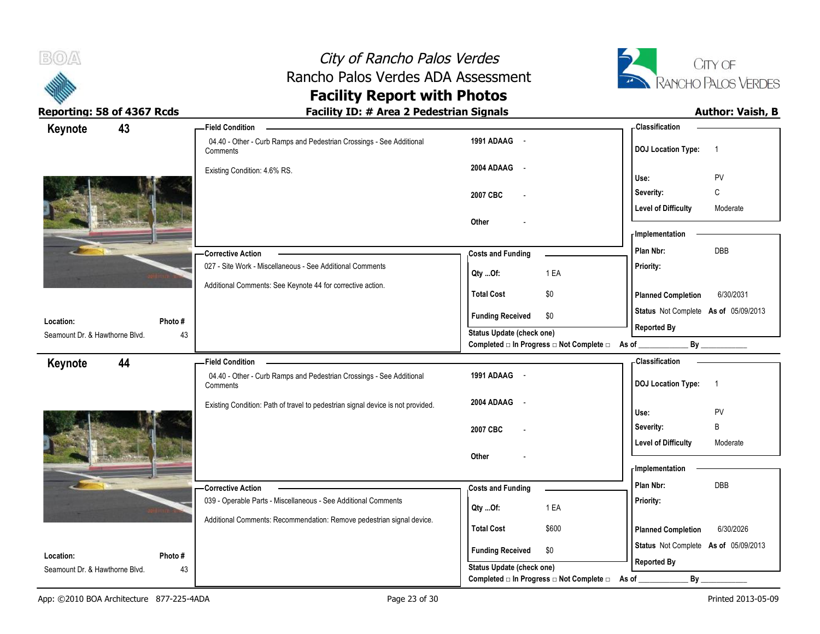



| Keynote                        | 43     | <b>Field Condition</b>                                                           |                                                  | <b>Classification</b>                       |
|--------------------------------|--------|----------------------------------------------------------------------------------|--------------------------------------------------|---------------------------------------------|
|                                |        | 04.40 - Other - Curb Ramps and Pedestrian Crossings - See Additional<br>Comments | 1991 ADAAG -                                     | <b>DOJ Location Type:</b><br>$\overline{1}$ |
|                                |        | Existing Condition: 4.6% RS.                                                     | 2004 ADAAG -                                     | Use:                                        |
|                                |        |                                                                                  |                                                  | PV                                          |
|                                |        |                                                                                  | 2007 CBC                                         | C<br>Severity:                              |
|                                |        |                                                                                  |                                                  | <b>Level of Difficulty</b><br>Moderate      |
|                                |        |                                                                                  | Other                                            |                                             |
|                                |        |                                                                                  |                                                  | Implementation                              |
|                                |        | <b>Corrective Action</b>                                                         | <b>Costs and Funding</b>                         | DBB<br>Plan Nbr:                            |
|                                |        | 027 - Site Work - Miscellaneous - See Additional Comments                        | 1 EA<br>Qty Of:                                  | Priority:                                   |
|                                |        | Additional Comments: See Keynote 44 for corrective action.                       | <b>Total Cost</b><br>\$0                         | 6/30/2031<br><b>Planned Completion</b>      |
|                                |        |                                                                                  | <b>Funding Received</b><br>\$0                   | Status Not Complete As of 05/09/2013        |
| Location:                      | Photo# |                                                                                  | <b>Status Update (check one)</b>                 | <b>Reported By</b>                          |
| Seamount Dr. & Hawthorne Blvd. | 43     |                                                                                  | Completed □ In Progress □ Not Complete □ As of _ | By                                          |
| Keynote                        | 44     | <b>Field Condition</b>                                                           |                                                  | - Classification                            |
|                                |        | 04.40 - Other - Curb Ramps and Pedestrian Crossings - See Additional<br>Comments | 1991 ADAAG -                                     | <b>DOJ Location Type:</b><br>$\overline{1}$ |
|                                |        | Existing Condition: Path of travel to pedestrian signal device is not provided.  | 2004 ADAAG<br>$\sim$                             | PV<br>Use:                                  |
|                                |        |                                                                                  | 2007 CBC                                         | B<br>Severity:                              |
|                                |        |                                                                                  |                                                  | <b>Level of Difficulty</b><br>Moderate      |
|                                |        |                                                                                  | Other                                            |                                             |
|                                |        |                                                                                  |                                                  | - Implementation                            |
|                                |        | Corrective Action                                                                | <b>Costs and Funding</b>                         | Plan Nbr:<br><b>DBB</b>                     |
|                                |        | 039 - Operable Parts - Miscellaneous - See Additional Comments                   |                                                  | Priority:                                   |
|                                |        |                                                                                  | 1 EA<br>Qty Of:                                  |                                             |
|                                |        | Additional Comments: Recommendation: Remove pedestrian signal device.            | <b>Total Cost</b><br>\$600                       | <b>Planned Completion</b><br>6/30/2026      |
|                                |        |                                                                                  |                                                  | Status Not Complete As of 05/09/2013        |
| Location:                      | Photo# |                                                                                  | <b>Funding Received</b><br>\$0                   |                                             |
| Seamount Dr. & Hawthorne Blvd. | 43     |                                                                                  | <b>Status Update (check one)</b>                 | <b>Reported By</b>                          |
|                                |        |                                                                                  | Completed □ In Progress □ Not Complete □         | By<br>As of                                 |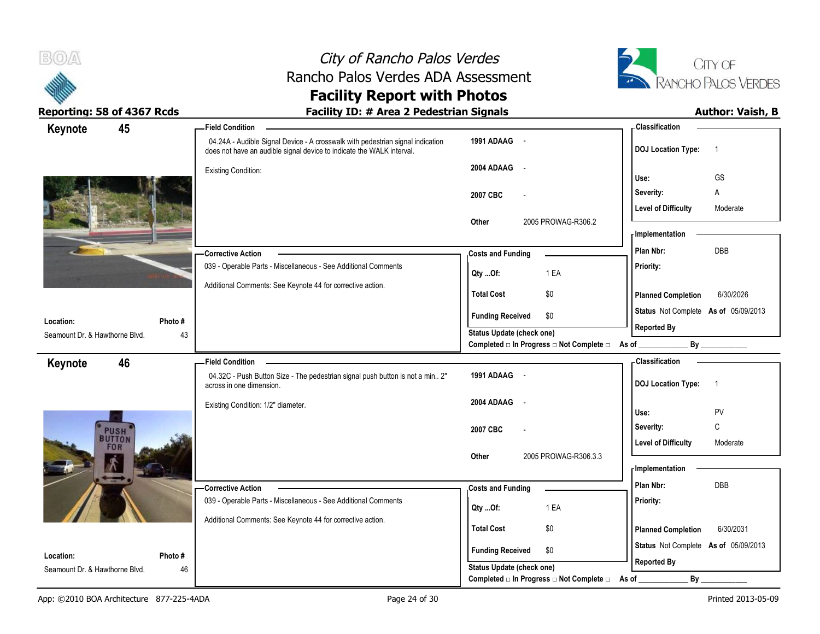



| Keynote                        | 45                        | -Field Condition                                                                                                                                        |                                                                       | - Classification                            |
|--------------------------------|---------------------------|---------------------------------------------------------------------------------------------------------------------------------------------------------|-----------------------------------------------------------------------|---------------------------------------------|
|                                |                           | 04.24A - Audible Signal Device - A crosswalk with pedestrian signal indication<br>does not have an audible signal device to indicate the WALK interval. | 1991 ADAAG -                                                          | <b>DOJ Location Type:</b><br>$\overline{1}$ |
|                                |                           | <b>Existing Condition:</b>                                                                                                                              | 2004 ADAAG<br>$\sim$                                                  | GS<br>Use:                                  |
|                                |                           |                                                                                                                                                         |                                                                       | Severity:<br>A                              |
|                                |                           |                                                                                                                                                         | 2007 CBC                                                              | <b>Level of Difficulty</b><br>Moderate      |
|                                |                           |                                                                                                                                                         | 2005 PROWAG-R306.2<br>Other                                           |                                             |
|                                |                           |                                                                                                                                                         |                                                                       | - Implementation                            |
|                                |                           | <b>Corrective Action</b>                                                                                                                                | <b>Costs and Funding</b>                                              | DBB<br>Plan Nbr:                            |
|                                |                           | 039 - Operable Parts - Miscellaneous - See Additional Comments                                                                                          | 1 EA<br>Qty Of:                                                       | Priority:                                   |
|                                |                           | Additional Comments: See Keynote 44 for corrective action.                                                                                              | <b>Total Cost</b><br>\$0                                              | 6/30/2026<br><b>Planned Completion</b>      |
| Location:                      | Photo #                   |                                                                                                                                                         | <b>Funding Received</b><br>\$0                                        | Status Not Complete As of 05/09/2013        |
| Seamount Dr. & Hawthorne Blvd. | 43                        |                                                                                                                                                         | <b>Status Update (check one)</b>                                      | <b>Reported By</b>                          |
|                                |                           |                                                                                                                                                         | Completed □ In Progress □ Not Complete □ As of _                      | By                                          |
| Keynote                        | 46                        | <b>Field Condition</b>                                                                                                                                  |                                                                       | - Classification                            |
|                                |                           | 04.32C - Push Button Size - The pedestrian signal push button is not a min 2"                                                                           | 1991 ADAAG -                                                          | <b>DOJ Location Type:</b><br>$\overline{1}$ |
|                                |                           | across in one dimension.                                                                                                                                |                                                                       |                                             |
|                                |                           | Existing Condition: 1/2" diameter.                                                                                                                      | 2004 ADAAG<br>$\sim$                                                  |                                             |
|                                |                           |                                                                                                                                                         |                                                                       | PV<br>Use:                                  |
|                                |                           |                                                                                                                                                         | 2007 CBC                                                              | Severity:<br>C                              |
|                                | <b>PUSH</b><br><b>FOR</b> |                                                                                                                                                         |                                                                       | <b>Level of Difficulty</b><br>Moderate      |
|                                |                           |                                                                                                                                                         | 2005 PROWAG-R306.3.3<br>Other                                         | - Implementation                            |
|                                |                           |                                                                                                                                                         |                                                                       | Plan Nbr:<br>DBB                            |
|                                |                           | <b>Corrective Action</b><br>039 - Operable Parts - Miscellaneous - See Additional Comments                                                              | <b>Costs and Funding</b>                                              | Priority:                                   |
|                                |                           | Additional Comments: See Keynote 44 for corrective action.                                                                                              | 1 EA<br>Qty Of:                                                       |                                             |
|                                |                           |                                                                                                                                                         | \$0<br><b>Total Cost</b>                                              | <b>Planned Completion</b><br>6/30/2031      |
| Location:                      | Photo#                    |                                                                                                                                                         | <b>Funding Received</b><br>\$0                                        | Status Not Complete As of 05/09/2013        |
| Seamount Dr. & Hawthorne Blvd. | 46                        |                                                                                                                                                         | Status Update (check one)<br>Completed □ In Progress □ Not Complete □ | <b>Reported By</b><br>$By$ <sub>—</sub>     |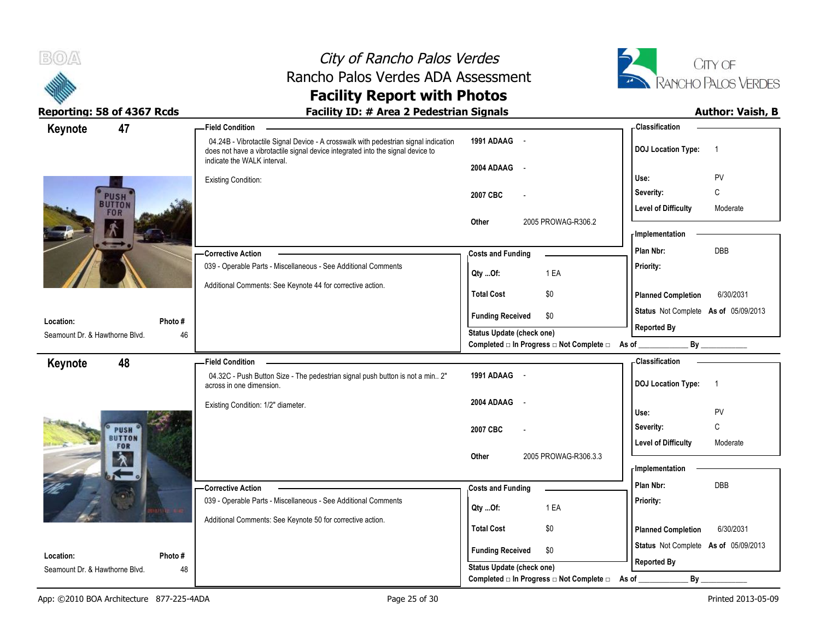



| Keynote                                     | 47                           | <b>Field Condition</b>                                                                                                                                                                                |                                                  | - Classification                            |
|---------------------------------------------|------------------------------|-------------------------------------------------------------------------------------------------------------------------------------------------------------------------------------------------------|--------------------------------------------------|---------------------------------------------|
|                                             |                              | 04.24B - Vibrotactile Signal Device - A crosswalk with pedestrian signal indication<br>does not have a vibrotactile signal device integrated into the signal device to<br>indicate the WALK interval. | 1991 ADAAG -                                     | <b>DOJ Location Type:</b><br>$\overline{1}$ |
|                                             |                              |                                                                                                                                                                                                       | 2004 ADAAG<br>$\sim$ $-$                         | PV<br>Use:                                  |
|                                             |                              | <b>Existing Condition:</b>                                                                                                                                                                            | 2007 CBC                                         | $\mathsf C$<br>Severity:                    |
|                                             | <b>PUSH</b><br><b>BUTTON</b> |                                                                                                                                                                                                       |                                                  | <b>Level of Difficulty</b><br>Moderate      |
|                                             | <b>FOR</b>                   |                                                                                                                                                                                                       | 2005 PROWAG-R306.2<br>Other                      |                                             |
|                                             |                              |                                                                                                                                                                                                       |                                                  | - Implementation                            |
|                                             |                              | <b>Corrective Action</b>                                                                                                                                                                              | <b>Costs and Funding</b>                         | <b>DBB</b><br>Plan Nbr:                     |
|                                             |                              | 039 - Operable Parts - Miscellaneous - See Additional Comments                                                                                                                                        | 1 EA<br>Qty Of:                                  | Priority:                                   |
|                                             |                              | Additional Comments: See Keynote 44 for corrective action.                                                                                                                                            | <b>Total Cost</b><br>\$0                         | 6/30/2031                                   |
|                                             |                              |                                                                                                                                                                                                       |                                                  | <b>Planned Completion</b>                   |
| Location:                                   | Photo#                       |                                                                                                                                                                                                       | \$0<br><b>Funding Received</b>                   | Status Not Complete As of 05/09/2013        |
| Seamount Dr. & Hawthorne Blvd.              |                              | 46                                                                                                                                                                                                    | <b>Status Update (check one)</b>                 | <b>Reported By</b>                          |
|                                             |                              |                                                                                                                                                                                                       | Completed □ In Progress □ Not Complete □ As of _ | By                                          |
| Keynote                                     | 48                           | <b>Field Condition</b><br>04.32C - Push Button Size - The pedestrian signal push button is not a min 2"                                                                                               | 1991 ADAAG -                                     | <b>Classification</b>                       |
|                                             |                              | across in one dimension.                                                                                                                                                                              |                                                  | <b>DOJ Location Type:</b><br>$\overline{1}$ |
|                                             |                              | Existing Condition: 1/2" diameter.                                                                                                                                                                    | 2004 ADAAG<br>$\sim$ $\sim$                      |                                             |
|                                             |                              |                                                                                                                                                                                                       |                                                  | PV<br>Use:                                  |
|                                             | PUSH<br><b>BUTTON</b>        |                                                                                                                                                                                                       | 2007 CBC                                         | C<br>Severity:                              |
|                                             | FOR                          |                                                                                                                                                                                                       | 2005 PROWAG-R306.3.3<br>Other                    | <b>Level of Difficulty</b><br>Moderate      |
|                                             | 个                            |                                                                                                                                                                                                       |                                                  | - Implementation                            |
|                                             |                              | -Corrective Action                                                                                                                                                                                    | <b>Costs and Funding</b>                         | Plan Nbr:<br>DBB                            |
|                                             |                              | 039 - Operable Parts - Miscellaneous - See Additional Comments                                                                                                                                        | 1 EA<br>Qty Of:                                  | Priority:                                   |
|                                             |                              | Additional Comments: See Keynote 50 for corrective action.                                                                                                                                            |                                                  |                                             |
|                                             |                              |                                                                                                                                                                                                       | <b>Total Cost</b><br>\$0                         | <b>Planned Completion</b><br>6/30/2031      |
|                                             |                              |                                                                                                                                                                                                       |                                                  |                                             |
|                                             |                              |                                                                                                                                                                                                       | <b>Funding Received</b><br>\$0                   | Status Not Complete As of 05/09/2013        |
| Location:<br>Seamount Dr. & Hawthorne Blvd. | Photo #                      | 48                                                                                                                                                                                                    | <b>Status Update (check one)</b>                 | <b>Reported By</b><br>By                    |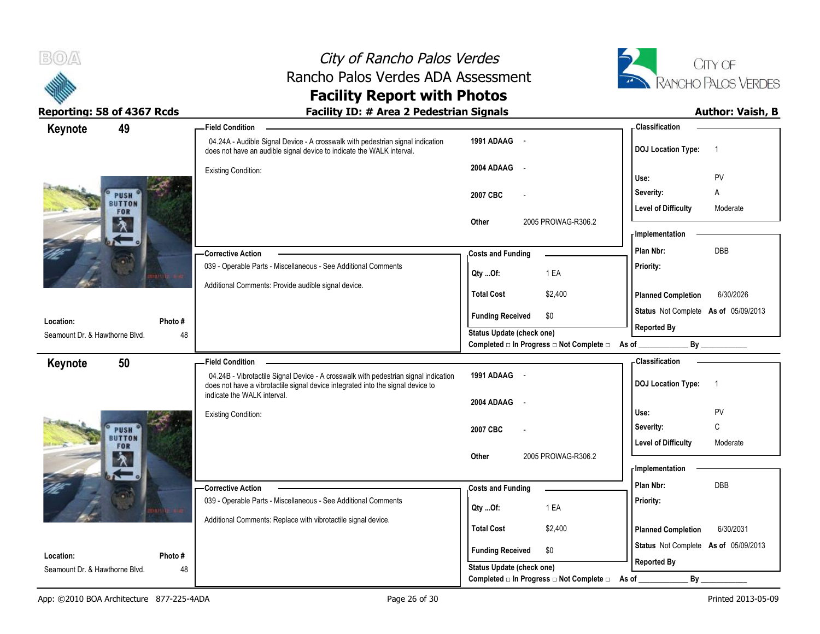



| Keynote                        | 49                   | - Field Condition                                                                                                                                                      |                                                                       | - Classification                            |
|--------------------------------|----------------------|------------------------------------------------------------------------------------------------------------------------------------------------------------------------|-----------------------------------------------------------------------|---------------------------------------------|
|                                |                      | 04.24A - Audible Signal Device - A crosswalk with pedestrian signal indication<br>does not have an audible signal device to indicate the WALK interval.                | 1991 ADAAG -                                                          | <b>DOJ Location Type:</b><br>$\overline{1}$ |
|                                |                      | <b>Existing Condition:</b>                                                                                                                                             | 2004 ADAAG<br>$\sim$                                                  | PV<br>Use:                                  |
|                                | PUSH                 |                                                                                                                                                                        | 2007 CBC                                                              | Severity:<br>Α                              |
|                                | <b>BUTTON</b><br>FOR |                                                                                                                                                                        |                                                                       | <b>Level of Difficulty</b><br>Moderate      |
|                                | $\lambda$            |                                                                                                                                                                        | 2005 PROWAG-R306.2<br>Other                                           | - Implementation                            |
|                                | $\leftarrow$         | <b>Corrective Action</b>                                                                                                                                               | <b>Costs and Funding</b>                                              | Plan Nbr:<br>DBB                            |
|                                |                      | 039 - Operable Parts - Miscellaneous - See Additional Comments                                                                                                         |                                                                       | Priority:                                   |
|                                |                      | Additional Comments: Provide audible signal device.                                                                                                                    | 1 EA<br>Qty Of:                                                       |                                             |
|                                |                      |                                                                                                                                                                        | <b>Total Cost</b><br>\$2,400                                          | <b>Planned Completion</b><br>6/30/2026      |
| Location:                      | Photo #              |                                                                                                                                                                        | <b>Funding Received</b><br>\$0                                        | Status Not Complete As of 05/09/2013        |
| Seamount Dr. & Hawthorne Blvd. | 48                   |                                                                                                                                                                        | Status Update (check one)                                             | <b>Reported By</b>                          |
|                                |                      |                                                                                                                                                                        | Completed □ In Progress □ Not Complete □ As of _                      | By                                          |
| Keynote                        | 50                   | <b>Field Condition</b>                                                                                                                                                 |                                                                       | - Classification                            |
|                                |                      | 04.24B - Vibrotactile Signal Device - A crosswalk with pedestrian signal indication<br>does not have a vibrotactile signal device integrated into the signal device to | 1991 ADAAG -                                                          | <b>DOJ Location Type:</b><br>$\overline{1}$ |
|                                |                      | indicate the WALK interval.                                                                                                                                            | 2004 ADAAG<br>$\sim$                                                  |                                             |
|                                |                      |                                                                                                                                                                        |                                                                       |                                             |
|                                |                      | <b>Existing Condition:</b>                                                                                                                                             |                                                                       | Use:<br>PV                                  |
|                                | <b>PUSH</b>          |                                                                                                                                                                        | 2007 CBC                                                              | C<br>Severity:                              |
|                                | <b>BUTTON</b><br>FOR |                                                                                                                                                                        |                                                                       | <b>Level of Difficulty</b><br>Moderate      |
|                                | $\lambda$            |                                                                                                                                                                        | 2005 PROWAG-R306.2<br>Other                                           | <b>Implementation</b>                       |
|                                |                      | <b>Corrective Action</b>                                                                                                                                               |                                                                       | Plan Nbr:<br>DBB                            |
|                                |                      | 039 - Operable Parts - Miscellaneous - See Additional Comments                                                                                                         | <b>Costs and Funding</b>                                              | Priority:                                   |
|                                |                      | Additional Comments: Replace with vibrotactile signal device.                                                                                                          | 1 EA<br>Qty Of:                                                       |                                             |
|                                |                      |                                                                                                                                                                        | <b>Total Cost</b><br>\$2,400                                          | <b>Planned Completion</b><br>6/30/2031      |
| Location:                      | Photo#               |                                                                                                                                                                        | <b>Funding Received</b><br>\$0                                        | Status Not Complete As of 05/09/2013        |
| Seamount Dr. & Hawthorne Blvd. | 48                   |                                                                                                                                                                        | Status Update (check one)<br>Completed □ In Progress □ Not Complete □ | <b>Reported By</b><br>By<br>As of           |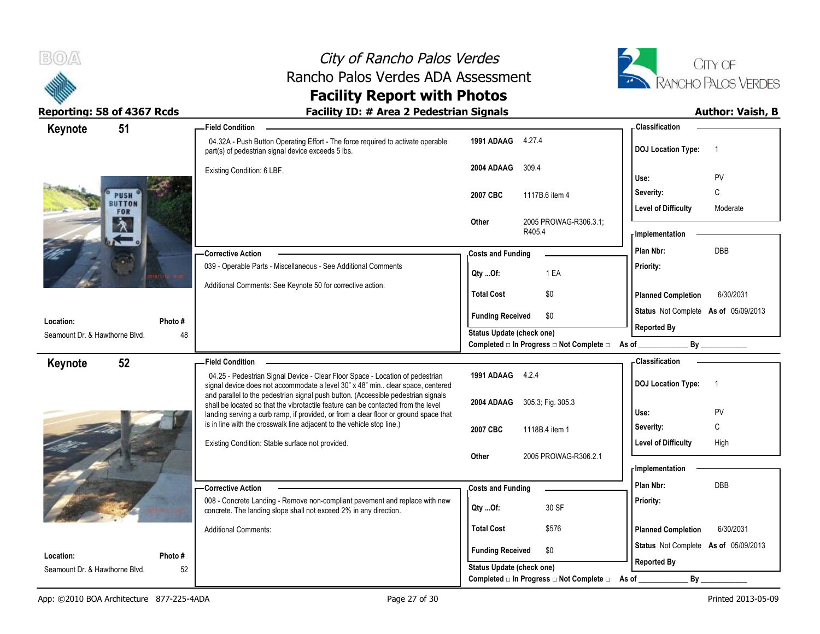

# City of Rancho Palos Verdes Rancho Palos Verdes ADA Assessment



### **Facility Report with Photos** Reporting: 58 of 4367 Rcds **Facility ID: # Area 2 Pedestrian Signals Reporting: 58 of 4367 Rcds Author: Vaish, B**

| 51<br>Keynote                               |              | - Field Condition                                                                                                                                                      |                                  |                                                         | - Classification                            |
|---------------------------------------------|--------------|------------------------------------------------------------------------------------------------------------------------------------------------------------------------|----------------------------------|---------------------------------------------------------|---------------------------------------------|
|                                             |              | 04.32A - Push Button Operating Effort - The force required to activate operable<br>part(s) of pedestrian signal device exceeds 5 lbs.                                  | 1991 ADAAG                       | 4.27.4                                                  | <b>DOJ Location Type:</b><br>$\overline{1}$ |
|                                             |              | Existing Condition: 6 LBF.                                                                                                                                             | 2004 ADAAG                       | 309.4                                                   | PV<br>Use:                                  |
| PUSH                                        | FOR<br>个     |                                                                                                                                                                        | 2007 CBC                         | 1117B.6 item 4                                          | C<br>Severity:                              |
| <b>BUTTON</b>                               |              |                                                                                                                                                                        |                                  |                                                         | <b>Level of Difficulty</b><br>Moderate      |
|                                             |              |                                                                                                                                                                        | Other                            | 2005 PROWAG-R306.3.1;<br>R405.4                         | - Implementation                            |
|                                             |              | - Corrective Action                                                                                                                                                    | <b>Costs and Funding</b>         |                                                         | Plan Nbr:<br><b>DBB</b>                     |
|                                             |              | 039 - Operable Parts - Miscellaneous - See Additional Comments                                                                                                         | Qty Of:                          | 1 EA                                                    | Priority:                                   |
|                                             |              | Additional Comments: See Keynote 50 for corrective action.                                                                                                             | <b>Total Cost</b>                | \$0                                                     | 6/30/2031<br><b>Planned Completion</b>      |
|                                             |              |                                                                                                                                                                        | <b>Funding Received</b>          | \$0                                                     | Status Not Complete As of 05/09/2013        |
| Location:<br>Seamount Dr. & Hawthorne Blvd. | Photo#<br>48 |                                                                                                                                                                        | <b>Status Update (check one)</b> |                                                         | <b>Reported By</b>                          |
|                                             |              |                                                                                                                                                                        |                                  | Completed □ In Progress □ Not Complete □ As of ________ | By                                          |
| 52<br>Keynote                               |              | <b>Field Condition</b>                                                                                                                                                 |                                  |                                                         | -Classification                             |
|                                             |              | 04.25 - Pedestrian Signal Device - Clear Floor Space - Location of pedestrian<br>signal device does not accommodate a level 30" x 48" min clear space, centered        | 1991 ADAAG 4.2.4                 |                                                         | <b>DOJ Location Type:</b><br>$\overline{1}$ |
|                                             |              | and parallel to the pedestrian signal push button. (Accessible pedestrian signals<br>shall be located so that the vibrotactile feature can be contacted from the level | 2004 ADAAG                       | 305.3; Fig. 305.3                                       |                                             |
|                                             |              | landing serving a curb ramp, if provided, or from a clear floor or ground space that<br>is in line with the crosswalk line adjacent to the vehicle stop line.)         |                                  |                                                         | Use:<br><b>PV</b><br>C<br>Severity:         |
|                                             |              |                                                                                                                                                                        |                                  |                                                         |                                             |
|                                             |              |                                                                                                                                                                        | 2007 CBC                         | 1118B.4 item 1                                          |                                             |
|                                             |              | Existing Condition: Stable surface not provided.                                                                                                                       | Other                            | 2005 PROWAG-R306.2.1                                    | <b>Level of Difficulty</b><br>High          |
|                                             |              |                                                                                                                                                                        |                                  |                                                         | <b>Implementation</b>                       |
|                                             |              | -Corrective Action                                                                                                                                                     | <b>Costs and Funding</b>         |                                                         | Plan Nbr:<br><b>DBB</b>                     |
|                                             |              | 008 - Concrete Landing - Remove non-compliant pavement and replace with new<br>concrete. The landing slope shall not exceed 2% in any direction.                       | $Qty$ Of:                        | 30 SF                                                   | Priority:                                   |
|                                             |              | <b>Additional Comments:</b>                                                                                                                                            | <b>Total Cost</b>                | \$576                                                   | 6/30/2031<br><b>Planned Completion</b>      |
| Location:                                   | Photo #      |                                                                                                                                                                        | <b>Funding Received</b>          | \$0                                                     | Status Not Complete As of 05/09/2013        |
| Seamount Dr. & Hawthorne Blvd.              | 52           |                                                                                                                                                                        | Status Update (check one)        | Completed □ In Progress □ Not Complete □                | <b>Reported By</b><br>By<br>As of           |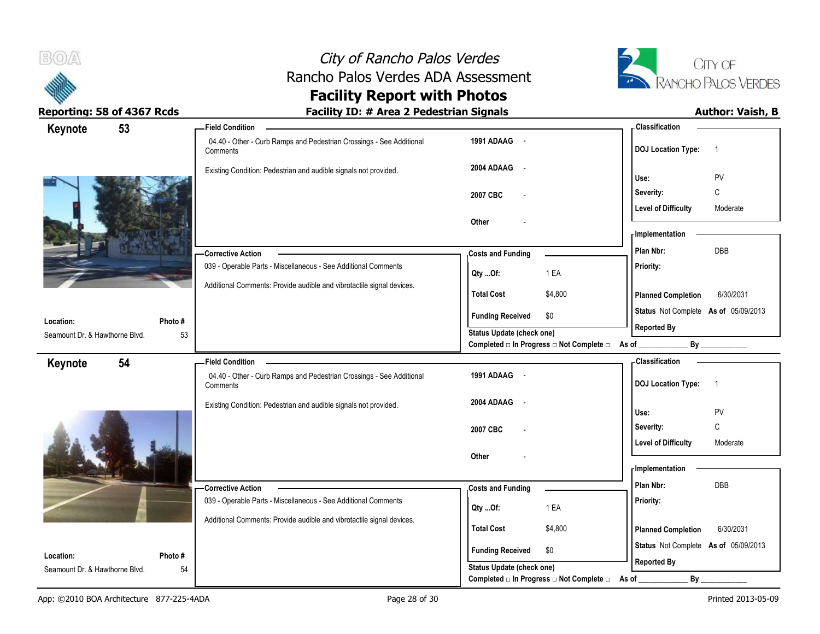



|                                                             | - Classification                                           |
|-------------------------------------------------------------|------------------------------------------------------------|
| 1991 ADAAG -                                                | <b>DOJ Location Type:</b><br>$\overline{1}$                |
| 2004 ADAAG<br>$\sim$ $\sim$                                 | PV<br>Use:                                                 |
| 2007 CBC                                                    | Severity:<br>C                                             |
|                                                             | <b>Level of Difficulty</b><br>Moderate                     |
| Other                                                       |                                                            |
|                                                             | - Implementation                                           |
| <b>Costs and Funding</b>                                    | DBB<br>Plan Nbr:                                           |
| 1 EA<br>Qty Of:                                             | Priority:                                                  |
| \$4,800<br><b>Total Cost</b>                                | 6/30/2031<br><b>Planned Completion</b>                     |
| <b>Funding Received</b><br>\$0                              | Status Not Complete As of 05/09/2013                       |
| <b>Status Update (check one)</b>                            | <b>Reported By</b>                                         |
| Completed □ In Progress □ Not Complete □ As of _            | $By$ <sub>___</sub>                                        |
|                                                             | - Classification                                           |
|                                                             |                                                            |
| 1991 ADAAG -                                                | <b>DOJ Location Type:</b><br>$\overline{1}$                |
| 2004 ADAAG<br>$\sim$                                        | Use:<br>PV                                                 |
| 2007 CBC                                                    | $\mathbb C$<br>Severity:                                   |
|                                                             | <b>Level of Difficulty</b><br>Moderate                     |
| Other                                                       |                                                            |
|                                                             | - Implementation                                           |
| <b>Costs and Funding</b>                                    | Plan Nbr:<br>DBB                                           |
| 1 EA<br>Qty Of:                                             | Priority:                                                  |
|                                                             |                                                            |
| <b>Total Cost</b><br>\$4,800                                | 6/30/2031<br><b>Planned Completion</b>                     |
| <b>Funding Received</b><br>\$0<br>Status Update (check one) | Status Not Complete As of 05/09/2013<br><b>Reported By</b> |
|                                                             |                                                            |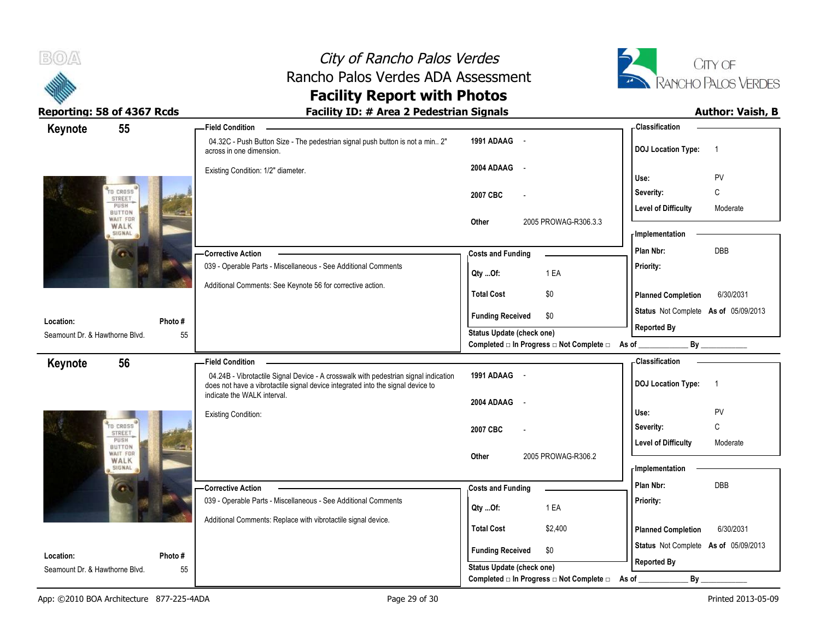



| 55<br>Keynote                  |         | <b>Field Condition</b>                                                                                                                                                                                |                                                                       | <b>Classification</b>                       |
|--------------------------------|---------|-------------------------------------------------------------------------------------------------------------------------------------------------------------------------------------------------------|-----------------------------------------------------------------------|---------------------------------------------|
|                                |         | 04.32C - Push Button Size - The pedestrian signal push button is not a min 2"<br>across in one dimension.                                                                                             | 1991 ADAAG -                                                          | <b>DOJ</b> Location Type:<br>$\overline{1}$ |
|                                |         | Existing Condition: 1/2" diameter.                                                                                                                                                                    | 2004 ADAAG<br>$\sim$                                                  | Use:<br>PV                                  |
| TO CROSS<br>STREET             |         |                                                                                                                                                                                                       | 2007 CBC                                                              | Severity:<br>C                              |
| PUSH<br>BUTTON<br>WAIT FOR     |         |                                                                                                                                                                                                       | Other<br>2005 PROWAG-R306.3.3                                         | <b>Level of Difficulty</b><br>Moderate      |
| WALK<br>SIGNAL                 |         |                                                                                                                                                                                                       |                                                                       | - Implementation                            |
|                                |         | <b>Corrective Action</b>                                                                                                                                                                              | <b>Costs and Funding</b>                                              | DBB<br>Plan Nbr:                            |
|                                |         | 039 - Operable Parts - Miscellaneous - See Additional Comments                                                                                                                                        | 1 EA<br>Qty Of:                                                       | Priority:                                   |
|                                |         | Additional Comments: See Keynote 56 for corrective action.                                                                                                                                            | <b>Total Cost</b><br>\$0                                              | <b>Planned Completion</b><br>6/30/2031      |
| Location:                      | Photo#  |                                                                                                                                                                                                       | <b>Funding Received</b><br>\$0                                        | Status Not Complete As of 05/09/2013        |
| Seamount Dr. & Hawthorne Blvd. | 55      |                                                                                                                                                                                                       | <b>Status Update (check one)</b>                                      | <b>Reported By</b>                          |
|                                |         |                                                                                                                                                                                                       | Completed □ In Progress □ Not Complete □ As of _                      | $By$ <sub>___</sub>                         |
| 56<br>Keynote                  |         | <b>Field Condition</b>                                                                                                                                                                                |                                                                       | - Classification                            |
|                                |         | 04.24B - Vibrotactile Signal Device - A crosswalk with pedestrian signal indication<br>does not have a vibrotactile signal device integrated into the signal device to<br>indicate the WALK interval. | 1991 ADAAG -                                                          | <b>DOJ Location Type:</b><br>$\overline{1}$ |
|                                |         |                                                                                                                                                                                                       |                                                                       |                                             |
|                                |         |                                                                                                                                                                                                       | 2004 ADAAG<br>$\sim$                                                  |                                             |
|                                |         | <b>Existing Condition:</b>                                                                                                                                                                            |                                                                       | Use:<br>PV                                  |
| TO CROSS<br>STREET             |         |                                                                                                                                                                                                       | 2007 CBC                                                              | C<br>Severity:                              |
| PUSH<br>BUTTON<br>WAIT FOR     |         |                                                                                                                                                                                                       |                                                                       | <b>Level of Difficulty</b><br>Moderate      |
| WALK<br>SIGNAL                 |         |                                                                                                                                                                                                       | 2005 PROWAG-R306.2<br>Other                                           | <b>Implementation</b>                       |
|                                |         |                                                                                                                                                                                                       |                                                                       | Plan Nbr:<br><b>DBB</b>                     |
|                                |         | -Corrective Action<br>039 - Operable Parts - Miscellaneous - See Additional Comments                                                                                                                  | <b>Costs and Funding</b>                                              | Priority:                                   |
|                                |         |                                                                                                                                                                                                       | 1 EA<br>Qty Of:                                                       |                                             |
|                                |         | Additional Comments: Replace with vibrotactile signal device.                                                                                                                                         | <b>Total Cost</b><br>\$2,400                                          | 6/30/2031<br><b>Planned Completion</b>      |
| Location:                      | Photo # |                                                                                                                                                                                                       | <b>Funding Received</b><br>\$0                                        | Status Not Complete As of 05/09/2013        |
| Seamount Dr. & Hawthorne Blvd. | 55      |                                                                                                                                                                                                       | Status Update (check one)<br>Completed □ In Progress □ Not Complete □ | <b>Reported By</b><br>By<br>As of           |